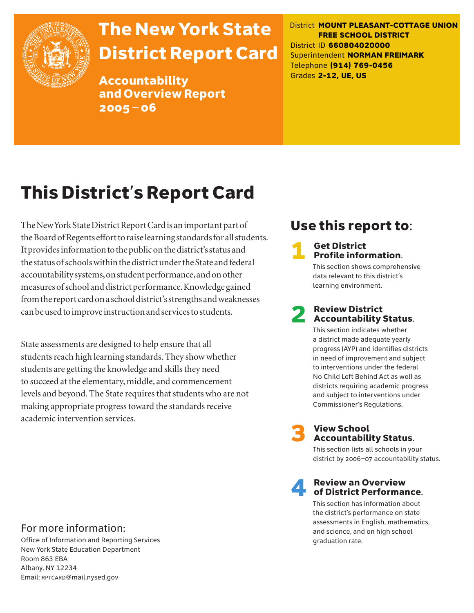

## The New York State District Report Card

Accountability and Overview Report 2005–06

District **MOUNT PLEASANT-COTTAGE UNION FREE SCHOOL DISTRICT** District ID **660804020000** Superintendent **NORMAN FREIMARK** Telephone **(914) 769-0456** Grades **2-12, UE, US**

## This District's Report Card

The New York State District Report Card is an important part of the Board of Regents effort to raise learning standards for all students. It provides information to the public on the district's status and the status of schools within the district under the State and federal accountability systems, on student performance, and on other measures of school and district performance. Knowledge gained from the report card on a school district's strengths and weaknesses can be used to improve instruction and services to students.

State assessments are designed to help ensure that all students reach high learning standards. They show whether students are getting the knowledge and skills they need to succeed at the elementary, middle, and commencement levels and beyond. The State requires that students who are not making appropriate progress toward the standards receive academic intervention services.

### Use this report to:

## **1** Get District<br>**Profile information.**

This section shows comprehensive data relevant to this district's learning environment.

# **2** Review District<br>Accountability Status.

This section indicates whether a district made adequate yearly progress (AYP) and identifies districts in need of improvement and subject to interventions under the federal No Child Left Behind Act as well as districts requiring academic progress and subject to interventions under Commissioner's Regulations.



## **3** View School<br>Accountability Status.

This section lists all schools in your district by 2006–07 accountability status.

## **A** Review an Overview<br>
of District Performance.

This section has information about the district's performance on state assessments in English, mathematics, and science, and on high school graduation rate.

### For more information:

Office of Information and Reporting Services New York State Education Department Room 863 EBA Albany, NY 12234 Email: RPTCARD@mail.nysed.gov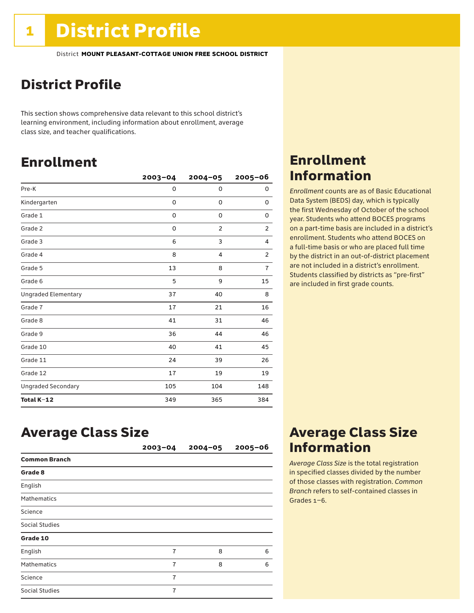### District Profile

This section shows comprehensive data relevant to this school district's learning environment, including information about enrollment, average class size, and teacher qualifications.

### Enrollment

|                            | $2003 - 04$ | $2004 - 05$    | $2005 - 06$    |
|----------------------------|-------------|----------------|----------------|
| Pre-K                      | 0           | 0              | 0              |
| Kindergarten               | 0           | 0              | 0              |
| Grade 1                    | 0           | 0              | 0              |
| Grade 2                    | 0           | $\overline{2}$ | $\overline{2}$ |
| Grade 3                    | 6           | 3              | 4              |
| Grade 4                    | 8           | 4              | $\overline{2}$ |
| Grade 5                    | 13          | 8              | $\overline{7}$ |
| Grade 6                    | 5           | 9              | 15             |
| <b>Ungraded Elementary</b> | 37          | 40             | 8              |
| Grade 7                    | 17          | 21             | 16             |
| Grade 8                    | 41          | 31             | 46             |
| Grade 9                    | 36          | 44             | 46             |
| Grade 10                   | 40          | 41             | 45             |
| Grade 11                   | 24          | 39             | 26             |
| Grade 12                   | 17          | 19             | 19             |
| <b>Ungraded Secondary</b>  | 105         | 104            | 148            |
| Total K-12                 | 349         | 365            | 384            |

### Enrollment Information

*Enrollment* counts are as of Basic Educational Data System (BEDS) day, which is typically the first Wednesday of October of the school year. Students who attend BOCES programs on a part-time basis are included in a district's enrollment. Students who attend BOCES on a full-time basis or who are placed full time by the district in an out-of-district placement are not included in a district's enrollment. Students classified by districts as "pre-first" are included in first grade counts.

### Average Class Size

|                      | $2003 - 04$    | $2004 - 05$ | $2005 - 06$ |
|----------------------|----------------|-------------|-------------|
| <b>Common Branch</b> |                |             |             |
| Grade 8              |                |             |             |
| English              |                |             |             |
| <b>Mathematics</b>   |                |             |             |
| Science              |                |             |             |
| Social Studies       |                |             |             |
| Grade 10             |                |             |             |
| English              | $\overline{7}$ | 8           | 6           |
| <b>Mathematics</b>   | $\overline{7}$ | 8           | 6           |
| Science              | $\overline{7}$ |             |             |
| Social Studies       | 7              |             |             |

### Average Class Size Information

*Average Class Size* is the total registration in specified classes divided by the number of those classes with registration. *Common Branch* refers to self-contained classes in Grades 1–6.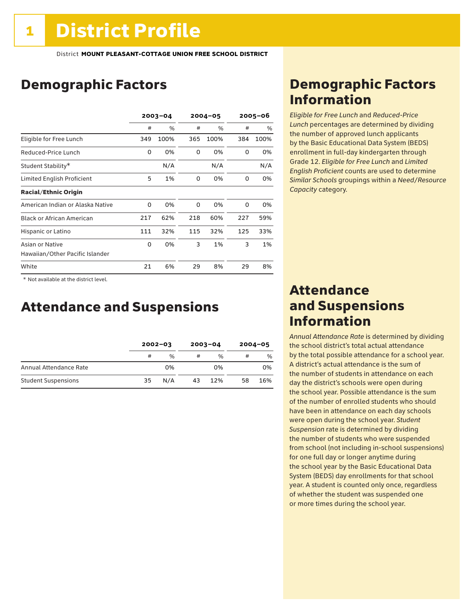### Demographic Factors

|                                  | $2003 - 04$ |      |     | $2004 - 05$   |          | $2005 - 06$ |  |
|----------------------------------|-------------|------|-----|---------------|----------|-------------|--|
|                                  | #           | $\%$ | #   | $\frac{0}{0}$ | #        | $\%$        |  |
| Eligible for Free Lunch          | 349         | 100% | 365 | 100%          | 384      | 100%        |  |
| Reduced-Price Lunch              | 0           | 0%   | 0   | 0%            | 0        | 0%          |  |
| Student Stability*               |             | N/A  |     | N/A           |          | N/A         |  |
| Limited English Proficient       | 5           | 1%   | 0   | 0%            | $\Omega$ | 0%          |  |
| <b>Racial/Ethnic Origin</b>      |             |      |     |               |          |             |  |
| American Indian or Alaska Native | 0           | 0%   | 0   | 0%            | 0        | 0%          |  |
| <b>Black or African American</b> | 217         | 62%  | 218 | 60%           | 227      | 59%         |  |
| Hispanic or Latino               | 111         | 32%  | 115 | 32%           | 125      | 33%         |  |
| Asian or Native                  | 0           | 0%   | 3   | 1%            | 3        | 1%          |  |
| Hawaiian/Other Pacific Islander  |             |      |     |               |          |             |  |
| White                            | 21          | 6%   | 29  | 8%            | 29       | 8%          |  |

 \* Not available at the district level.

### Attendance and Suspensions

|                            | $2002 - 03$ |      | $2003 - 04$ |               | $2004 - 05$ |     |
|----------------------------|-------------|------|-------------|---------------|-------------|-----|
|                            | #           | $\%$ | #           | $\frac{0}{6}$ | #           | %   |
| Annual Attendance Rate     |             | 0%   |             | 0%            |             | 0%  |
| <b>Student Suspensions</b> | 35          | N/A  | 43          | 12%           | 58          | 16% |

### Demographic Factors Information

*Eligible for Free Lunch* and *Reduced*-*Price Lunch* percentages are determined by dividing the number of approved lunch applicants by the Basic Educational Data System (BEDS) enrollment in full-day kindergarten through Grade 12. *Eligible for Free Lunch* and *Limited English Proficient* counts are used to determine *Similar Schools* groupings within a *Need*/*Resource Capacity* category.

### Attendance and Suspensions Information

*Annual Attendance Rate* is determined by dividing the school district's total actual attendance by the total possible attendance for a school year. A district's actual attendance is the sum of the number of students in attendance on each day the district's schools were open during the school year. Possible attendance is the sum of the number of enrolled students who should have been in attendance on each day schools were open during the school year. *Student Suspension* rate is determined by dividing the number of students who were suspended from school (not including in-school suspensions) for one full day or longer anytime during the school year by the Basic Educational Data System (BEDS) day enrollments for that school year. A student is counted only once, regardless of whether the student was suspended one or more times during the school year.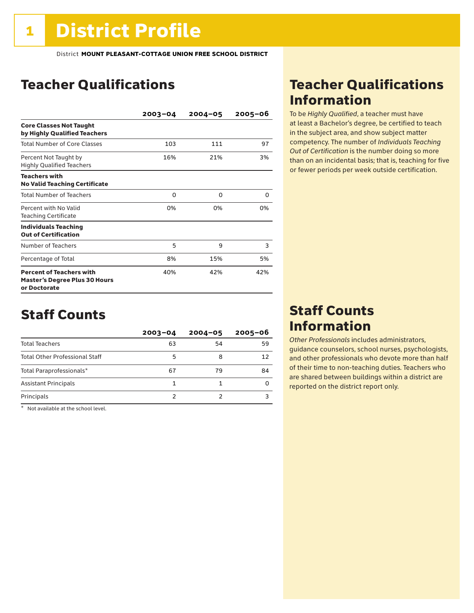### Teacher Qualifications

|                                                                                         | $2003 - 04$ | $2004 - 05$ | $2005 - 06$ |
|-----------------------------------------------------------------------------------------|-------------|-------------|-------------|
| <b>Core Classes Not Taught</b><br>by Highly Qualified Teachers                          |             |             |             |
| <b>Total Number of Core Classes</b>                                                     | 103         | 111         | 97          |
| Percent Not Taught by<br><b>Highly Qualified Teachers</b>                               | 16%         | 21%         | 3%          |
| <b>Teachers with</b><br><b>No Valid Teaching Certificate</b>                            |             |             |             |
| <b>Total Number of Teachers</b>                                                         | 0           | O           | 0           |
| Percent with No Valid<br><b>Teaching Certificate</b>                                    | 0%          | በ%          | በ%          |
| <b>Individuals Teaching</b><br><b>Out of Certification</b>                              |             |             |             |
| Number of Teachers                                                                      | 5           | 9           | 3           |
| Percentage of Total                                                                     | 8%          | 15%         | 5%          |
| <b>Percent of Teachers with</b><br><b>Master's Degree Plus 30 Hours</b><br>or Doctorate | 40%         | 42%         | 42%         |

### Staff Counts

|                                       | $2003 - 04$ | $2004 - 05$ | $2005 - 06$ |
|---------------------------------------|-------------|-------------|-------------|
| <b>Total Teachers</b>                 | 63          | 54          | 59          |
| <b>Total Other Professional Staff</b> | 5           | 8           | 12          |
| Total Paraprofessionals*              | 67          | 79          | 84          |
| <b>Assistant Principals</b>           |             |             |             |
| Principals                            |             |             |             |

\* Not available at the school level.

### Teacher Qualifications Information

To be *Highly Qualified*, a teacher must have at least a Bachelor's degree, be certified to teach in the subject area, and show subject matter competency. The number of *Individuals Teaching Out of Certification* is the number doing so more than on an incidental basis; that is, teaching for five or fewer periods per week outside certification.

### Staff Counts Information

*Other Professionals* includes administrators, guidance counselors, school nurses, psychologists, and other professionals who devote more than half of their time to non-teaching duties. Teachers who are shared between buildings within a district are reported on the district report only.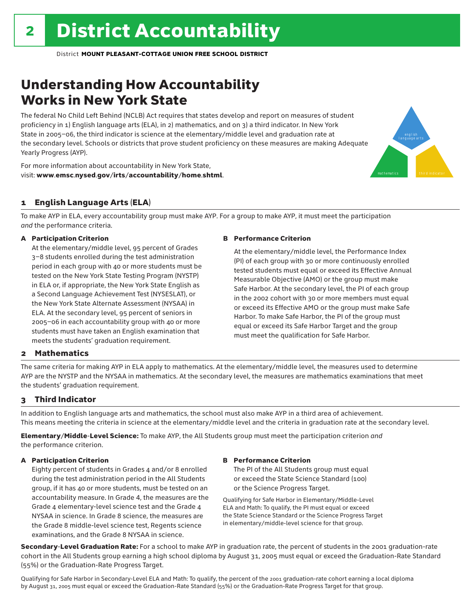### Understanding How Accountability Works in New York State

The federal No Child Left Behind (NCLB) Act requires that states develop and report on measures of student proficiency in 1) English language arts (ELA), in 2) mathematics, and on 3) a third indicator. In New York State in 2005–06, the third indicator is science at the elementary/middle level and graduation rate at the secondary level. Schools or districts that prove student proficiency on these measures are making Adequate Yearly Progress (AYP).

For more information about accountability in New York State, visit: www.emsc.nysed.gov/irts/accountability/home.shtml.

#### 1 English Language Arts (ELA)

To make AYP in ELA, every accountability group must make AYP. For a group to make AYP, it must meet the participation *and* the performance criteria.

#### A Participation Criterion

At the elementary/middle level, 95 percent of Grades 3–8 students enrolled during the test administration period in each group with 40 or more students must be tested on the New York State Testing Program (NYSTP) in ELA or, if appropriate, the New York State English as a Second Language Achievement Test (NYSESLAT), or the New York State Alternate Assessment (NYSAA) in ELA. At the secondary level, 95 percent of seniors in 2005–06 in each accountability group with 40 or more students must have taken an English examination that meets the students' graduation requirement.

#### B Performance Criterion

At the elementary/middle level, the Performance Index (PI) of each group with 30 or more continuously enrolled tested students must equal or exceed its Effective Annual Measurable Objective (AMO) or the group must make Safe Harbor. At the secondary level, the PI of each group in the 2002 cohort with 30 or more members must equal or exceed its Effective AMO or the group must make Safe Harbor. To make Safe Harbor, the PI of the group must equal or exceed its Safe Harbor Target and the group must meet the qualification for Safe Harbor.

english language arts

mathematics **third indicator** 

#### 2 Mathematics

The same criteria for making AYP in ELA apply to mathematics. At the elementary/middle level, the measures used to determine AYP are the NYSTP and the NYSAA in mathematics. At the secondary level, the measures are mathematics examinations that meet the students' graduation requirement.

#### 3 Third Indicator

In addition to English language arts and mathematics, the school must also make AYP in a third area of achievement. This means meeting the criteria in science at the elementary/middle level and the criteria in graduation rate at the secondary level.

Elementary/Middle-Level Science: To make AYP, the All Students group must meet the participation criterion *and* the performance criterion.

#### A Participation Criterion

Eighty percent of students in Grades 4 and/or 8 enrolled during the test administration period in the All Students group, if it has 40 or more students, must be tested on an accountability measure. In Grade 4, the measures are the Grade 4 elementary-level science test and the Grade 4 NYSAA in science. In Grade 8 science, the measures are the Grade 8 middle-level science test, Regents science examinations, and the Grade 8 NYSAA in science.

#### B Performance Criterion

The PI of the All Students group must equal or exceed the State Science Standard (100) or the Science Progress Target.

Qualifying for Safe Harbor in Elementary/Middle-Level ELA and Math: To qualify, the PI must equal or exceed the State Science Standard or the Science Progress Target in elementary/middle-level science for that group.

Secondary-Level Graduation Rate: For a school to make AYP in graduation rate, the percent of students in the 2001 graduation-rate cohort in the All Students group earning a high school diploma by August 31, 2005 must equal or exceed the Graduation-Rate Standard (55%) or the Graduation-Rate Progress Target.

Qualifying for Safe Harbor in Secondary-Level ELA and Math: To qualify, the percent of the 2001 graduation-rate cohort earning a local diploma by August 31, 2005 must equal or exceed the Graduation-Rate Standard (55%) or the Graduation-Rate Progress Target for that group.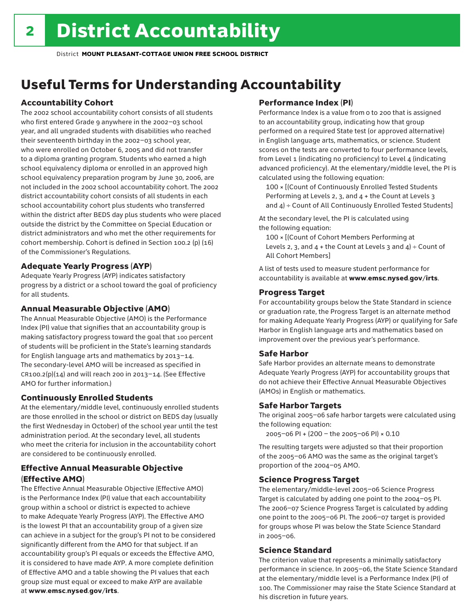### Useful Terms for Understanding Accountability

#### Accountability Cohort

The 2002 school accountability cohort consists of all students who first entered Grade 9 anywhere in the 2002–03 school year, and all ungraded students with disabilities who reached their seventeenth birthday in the 2002–03 school year, who were enrolled on October 6, 2005 and did not transfer to a diploma granting program. Students who earned a high school equivalency diploma or enrolled in an approved high school equivalency preparation program by June 30, 2006, are not included in the 2002 school accountability cohort. The 2002 district accountability cohort consists of all students in each school accountability cohort plus students who transferred within the district after BEDS day plus students who were placed outside the district by the Committee on Special Education or district administrators and who met the other requirements for cohort membership. Cohort is defined in Section 100.2 (p) (16) of the Commissioner's Regulations.

#### Adequate Yearly Progress (AYP)

Adequate Yearly Progress (AYP) indicates satisfactory progress by a district or a school toward the goal of proficiency for all students.

#### Annual Measurable Objective (AMO)

The Annual Measurable Objective (AMO) is the Performance Index (PI) value that signifies that an accountability group is making satisfactory progress toward the goal that 100 percent of students will be proficient in the State's learning standards for English language arts and mathematics by 2013–14. The secondary-level AMO will be increased as specified in  $CR100.2(p)(14)$  and will reach 200 in 2013-14. (See Effective AMO for further information.)

#### Continuously Enrolled Students

At the elementary/middle level, continuously enrolled students are those enrolled in the school or district on BEDS day (usually the first Wednesday in October) of the school year until the test administration period. At the secondary level, all students who meet the criteria for inclusion in the accountability cohort are considered to be continuously enrolled.

#### Effective Annual Measurable Objective (Effective AMO)

The Effective Annual Measurable Objective (Effective AMO) is the Performance Index (PI) value that each accountability group within a school or district is expected to achieve to make Adequate Yearly Progress (AYP). The Effective AMO is the lowest PI that an accountability group of a given size can achieve in a subject for the group's PI not to be considered significantly different from the AMO for that subject. If an accountability group's PI equals or exceeds the Effective AMO, it is considered to have made AYP. A more complete definition of Effective AMO and a table showing the PI values that each group size must equal or exceed to make AYP are available at www.emsc.nysed.gov/irts.

#### Performance Index (PI)

Performance Index is a value from 0 to 200 that is assigned to an accountability group, indicating how that group performed on a required State test (or approved alternative) in English language arts, mathematics, or science. Student scores on the tests are converted to four performance levels, from Level 1 (indicating no proficiency) to Level 4 (indicating advanced proficiency). At the elementary/middle level, the PI is calculated using the following equation:

100 × [(Count of Continuously Enrolled Tested Students Performing at Levels 2, 3, and 4 + the Count at Levels 3 and  $4$ ) ÷ Count of All Continuously Enrolled Tested Students]

At the secondary level, the PI is calculated using the following equation:

100 × [(Count of Cohort Members Performing at Levels 2, 3, and  $4 +$  the Count at Levels 3 and  $4$ ) ÷ Count of All Cohort Members]

A list of tests used to measure student performance for accountability is available at www.emsc.nysed.gov/irts.

#### Progress Target

For accountability groups below the State Standard in science or graduation rate, the Progress Target is an alternate method for making Adequate Yearly Progress (AYP) or qualifying for Safe Harbor in English language arts and mathematics based on improvement over the previous year's performance.

#### Safe Harbor

Safe Harbor provides an alternate means to demonstrate Adequate Yearly Progress (AYP) for accountability groups that do not achieve their Effective Annual Measurable Objectives (AMOs) in English or mathematics.

#### Safe Harbor Targets

The original 2005–06 safe harbor targets were calculated using the following equation:

2005–06 PI + (200 – the 2005–06 PI) × 0.10

The resulting targets were adjusted so that their proportion of the 2005–06 AMO was the same as the original target's proportion of the 2004–05 AMO.

#### Science Progress Target

The elementary/middle-level 2005–06 Science Progress Target is calculated by adding one point to the 2004–05 PI. The 2006–07 Science Progress Target is calculated by adding one point to the 2005–06 PI. The 2006–07 target is provided for groups whose PI was below the State Science Standard in 2005–06.

#### Science Standard

The criterion value that represents a minimally satisfactory performance in science. In 2005–06, the State Science Standard at the elementary/middle level is a Performance Index (PI) of 100. The Commissioner may raise the State Science Standard at his discretion in future years.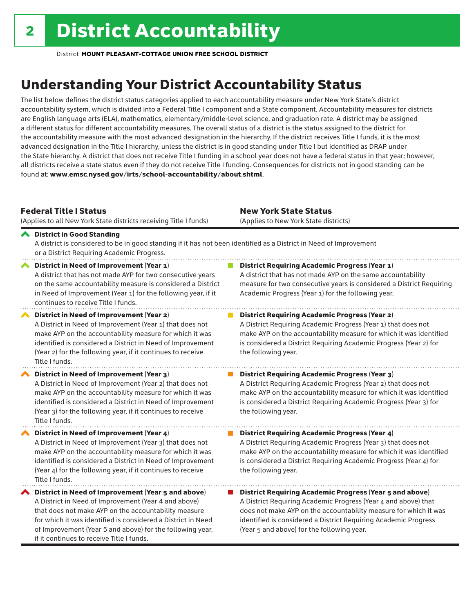### Understanding Your District Accountability Status

The list below defines the district status categories applied to each accountability measure under New York State's district accountability system, which is divided into a Federal Title I component and a State component. Accountability measures for districts are English language arts (ELA), mathematics, elementary/middle-level science, and graduation rate. A district may be assigned a different status for different accountability measures. The overall status of a district is the status assigned to the district for the accountability measure with the most advanced designation in the hierarchy. If the district receives Title I funds, it is the most advanced designation in the Title I hierarchy, unless the district is in good standing under Title I but identified as DRAP under the State hierarchy. A district that does not receive Title I funding in a school year does not have a federal status in that year; however, all districts receive a state status even if they do not receive Title I funding. Consequences for districts not in good standing can be found at: www.emsc.nysed.gov/irts/school-accountability/about.shtml.

#### Federal Title I Status

New York State Status

| (Applies to all New York State districts receiving Title I funds)                                                                                                                                                                                                                                                                            | (Applies to New York State districts)                                                                                                                                                                                                                                                                                 |  |  |  |
|----------------------------------------------------------------------------------------------------------------------------------------------------------------------------------------------------------------------------------------------------------------------------------------------------------------------------------------------|-----------------------------------------------------------------------------------------------------------------------------------------------------------------------------------------------------------------------------------------------------------------------------------------------------------------------|--|--|--|
| ← District in Good Standing<br>A district is considered to be in good standing if it has not been identified as a District in Need of Improvement<br>or a District Requiring Academic Progress.                                                                                                                                              |                                                                                                                                                                                                                                                                                                                       |  |  |  |
| District in Need of Improvement (Year 1)<br>A district that has not made AYP for two consecutive years<br>on the same accountability measure is considered a District<br>in Need of Improvement (Year 1) for the following year, if it<br>continues to receive Title I funds.                                                                | <b>District Requiring Academic Progress (Year 1)</b><br>A district that has not made AYP on the same accountability<br>measure for two consecutive years is considered a District Requiring<br>Academic Progress (Year 1) for the following year.                                                                     |  |  |  |
| District in Need of Improvement (Year 2)<br>A District in Need of Improvement (Year 1) that does not<br>make AYP on the accountability measure for which it was<br>identified is considered a District in Need of Improvement<br>(Year 2) for the following year, if it continues to receive<br>Title I funds.                               | <b>District Requiring Academic Progress (Year 2)</b><br>A District Requiring Academic Progress (Year 1) that does not<br>make AYP on the accountability measure for which it was identified<br>is considered a District Requiring Academic Progress (Year 2) for<br>the following year.                               |  |  |  |
| District in Need of Improvement (Year 3)<br>A District in Need of Improvement (Year 2) that does not<br>make AYP on the accountability measure for which it was<br>identified is considered a District in Need of Improvement<br>(Year 3) for the following year, if it continues to receive<br>Title I funds.                               | <b>District Requiring Academic Progress (Year 3)</b><br>A District Requiring Academic Progress (Year 2) that does not<br>make AYP on the accountability measure for which it was identified<br>is considered a District Requiring Academic Progress (Year 3) for<br>the following year.                               |  |  |  |
| District in Need of Improvement (Year 4)<br>A District in Need of Improvement (Year 3) that does not<br>make AYP on the accountability measure for which it was<br>identified is considered a District in Need of Improvement<br>(Year 4) for the following year, if it continues to receive<br>Title I funds.                               | <b>District Requiring Academic Progress (Year 4)</b><br>A District Requiring Academic Progress (Year 3) that does not<br>make AYP on the accountability measure for which it was identified<br>is considered a District Requiring Academic Progress (Year 4) for<br>the following year.                               |  |  |  |
| District in Need of Improvement (Year 5 and above)<br>A District in Need of Improvement (Year 4 and above)<br>that does not make AYP on the accountability measure<br>for which it was identified is considered a District in Need<br>of Improvement (Year 5 and above) for the following year,<br>if it continues to receive Title I funds. | <b>District Requiring Academic Progress (Year 5 and above)</b><br>A District Requiring Academic Progress (Year 4 and above) that<br>does not make AYP on the accountability measure for which it was<br>identified is considered a District Requiring Academic Progress<br>(Year 5 and above) for the following year. |  |  |  |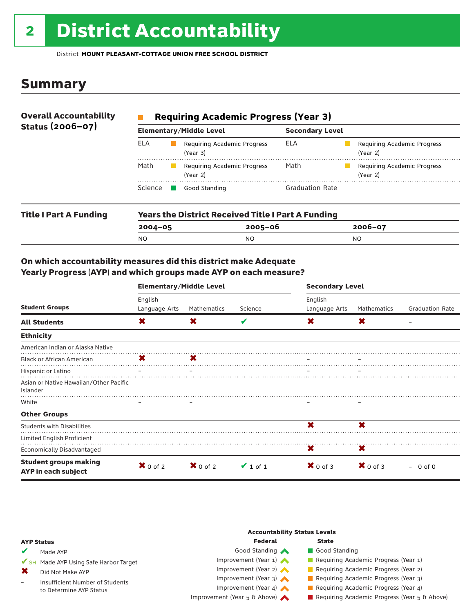## **2 District Accountability**

District **MOUNT PLEASANT-COTTAGE UNION FREE SCHOOL DISTRICT**

### Summary

| <b>Overall Accountability</b><br>Status $(2006 - 07)$ | <b>Requiring Academic Progress (Year 3)</b> |                                         |                        |                                         |  |  |
|-------------------------------------------------------|---------------------------------------------|-----------------------------------------|------------------------|-----------------------------------------|--|--|
|                                                       |                                             | <b>Elementary/Middle Level</b>          | <b>Secondary Level</b> |                                         |  |  |
|                                                       | <b>ELA</b>                                  | Requiring Academic Progress<br>(Year 3) | ELA                    | Requiring Academic Progress<br>(Year 2) |  |  |
|                                                       | Math                                        | Requiring Academic Progress<br>(Year 2) | Math                   | Requiring Academic Progress<br>(Year 2) |  |  |
|                                                       | Science                                     | Good Standing                           | <b>Graduation Rate</b> |                                         |  |  |

| <b>Title I Part A Funding</b> | <b>Years the District Received Title I Part A Funding</b> |             |             |  |  |
|-------------------------------|-----------------------------------------------------------|-------------|-------------|--|--|
|                               | $2004 - 05$                                               | $2005 - 06$ | $2006 - 07$ |  |  |
|                               | N <sub>O</sub>                                            | NO          | NO          |  |  |

#### On which accountability measures did this district make Adequate Yearly Progress (AYP) and which groups made AYP on each measure?

|                                                     | <b>Elementary/Middle Level</b> |                     |               | <b>Secondary Level</b>   |                     |                        |
|-----------------------------------------------------|--------------------------------|---------------------|---------------|--------------------------|---------------------|------------------------|
| <b>Student Groups</b>                               | English<br>Language Arts       | Mathematics         | Science       | English<br>Language Arts | Mathematics         | <b>Graduation Rate</b> |
| <b>All Students</b>                                 | X                              | X                   | V             | X                        | X                   |                        |
| <b>Ethnicity</b>                                    |                                |                     |               |                          |                     |                        |
| American Indian or Alaska Native                    |                                |                     |               |                          |                     |                        |
| <b>Black or African American</b>                    | $\mathbf x$                    | ×                   |               |                          |                     |                        |
| Hispanic or Latino                                  |                                |                     |               |                          |                     |                        |
| Asian or Native Hawaiian/Other Pacific<br>Islander  |                                |                     |               |                          |                     |                        |
| White                                               |                                |                     |               |                          |                     |                        |
| <b>Other Groups</b>                                 |                                |                     |               |                          |                     |                        |
| <b>Students with Disabilities</b>                   |                                |                     |               | ×                        | X                   |                        |
| Limited English Proficient                          |                                |                     |               |                          |                     |                        |
| <b>Economically Disadvantaged</b>                   |                                |                     |               | X.                       | X                   |                        |
| <b>Student groups making</b><br>AYP in each subject | $\mathbf{X}$ 0 of 2            | $\mathbf{X}$ 0 of 2 | $\vee$ 1 of 1 | $X$ 0 of 3               | $\mathbf{X}$ 0 of 3 | $-0$ of 0              |

|                          |                                      | <b>Accountability Status Levels</b> |                                              |
|--------------------------|--------------------------------------|-------------------------------------|----------------------------------------------|
| <b>AYP Status</b>        |                                      | Federal                             | <b>State</b>                                 |
|                          | Made AYP                             | Good Standing                       | Good Standing                                |
|                          | SH Made AYP Using Safe Harbor Target | Improvement (Year $1$ )             | Requiring Academic Progress (Year 1)         |
| Х                        | Did Not Make AYP                     | Improvement (Year 2) $\triangle$    | Requiring Academic Progress (Year 2)         |
| $\overline{\phantom{m}}$ | Insufficient Number of Students      | Improvement (Year 3)                | Requiring Academic Progress (Year 3)         |
|                          | to Determine AYP Status              | Improvement (Year 4)                | Requiring Academic Progress (Year 4)         |
|                          |                                      | Improvement (Year $5 \theta$ Above) | Requiring Academic Progress (Year 5 & Above) |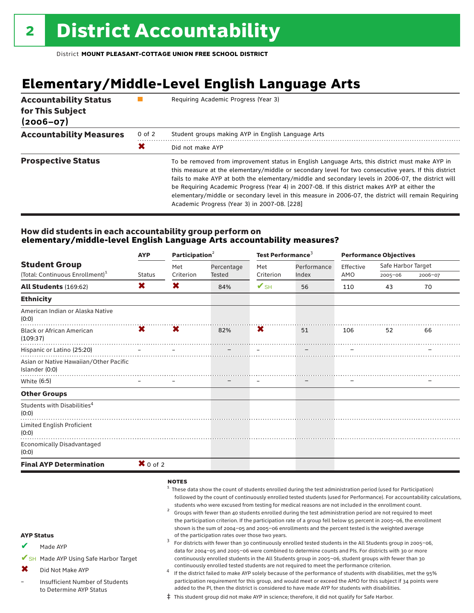### **Elementary/Middle-Level English Language Arts**

| <b>Accountability Status</b><br>for This Subject<br>$(2006 - 07)$ |            | Requiring Academic Progress (Year 3)                                                                                                                                                                                                                                                                                                                                                                                                                                                                                                                                |
|-------------------------------------------------------------------|------------|---------------------------------------------------------------------------------------------------------------------------------------------------------------------------------------------------------------------------------------------------------------------------------------------------------------------------------------------------------------------------------------------------------------------------------------------------------------------------------------------------------------------------------------------------------------------|
| <b>Accountability Measures</b>                                    | $0$ of $2$ | Student groups making AYP in English Language Arts                                                                                                                                                                                                                                                                                                                                                                                                                                                                                                                  |
|                                                                   | Х          | Did not make AYP                                                                                                                                                                                                                                                                                                                                                                                                                                                                                                                                                    |
| <b>Prospective Status</b>                                         |            | To be removed from improvement status in English Language Arts, this district must make AYP in<br>this measure at the elementary/middle or secondary level for two consecutive years. If this district<br>fails to make AYP at both the elementary/middle and secondary levels in 2006-07, the district will<br>be Requiring Academic Progress (Year 4) in 2007-08. If this district makes AYP at either the<br>elementary/middle or secondary level in this measure in 2006-07, the district will remain Requiring<br>Academic Progress (Year 3) in 2007-08. [228] |

#### How did students in each accountability group perform on **elementary/middle-level English Language Arts accountability measures?**

|                                                          | <b>AYP</b>                   | Participation <sup>2</sup> |            | Test Performance <sup>3</sup> |                   | <b>Performance Objectives</b> |                    |         |
|----------------------------------------------------------|------------------------------|----------------------------|------------|-------------------------------|-------------------|-------------------------------|--------------------|---------|
| <b>Student Group</b>                                     |                              | Met                        | Percentage | Met                           | Performance       | Effective                     | Safe Harbor Target |         |
| (Total: Continuous Enrollment) <sup>1</sup>              | <b>Status</b>                | Criterion                  | Tested     | Criterion                     | Index             | AMO                           | $2005 - 06$        | 2006-07 |
| All Students (169:62)                                    | X                            | X                          | 84%        | $\mathbf{V}_{\text{SH}}$      | 56                | 110                           | 43                 | 70      |
| <b>Ethnicity</b>                                         |                              |                            |            |                               |                   |                               |                    |         |
| American Indian or Alaska Native<br>(0:0)                |                              |                            |            |                               |                   |                               |                    |         |
| <b>Black or African American</b><br>(109:37)             | X.                           | $\mathbf x$                | 82%        | X.                            | 51                | 106                           | 52                 | 66      |
| Hispanic or Latino (25:20)                               |                              |                            |            |                               |                   |                               |                    |         |
| Asian or Native Hawaiian/Other Pacific<br>Islander (0:0) |                              |                            |            |                               |                   |                               |                    |         |
| White (6:5)                                              | $\qquad \qquad \blacksquare$ |                            |            | $\qquad \qquad \blacksquare$  | $\qquad \qquad -$ |                               |                    |         |
| <b>Other Groups</b>                                      |                              |                            |            |                               |                   |                               |                    |         |
| Students with Disabilities <sup>4</sup><br>(0:0)         |                              |                            |            |                               |                   |                               |                    |         |
| Limited English Proficient<br>(0:0)                      |                              |                            |            |                               |                   |                               |                    |         |
| <b>Economically Disadvantaged</b><br>(0:0)               |                              |                            |            |                               |                   |                               |                    |         |
| <b>Final AYP Determination</b>                           | $\mathbf{X}$ 0 of 2          |                            |            |                               |                   |                               |                    |         |

#### notes

- AYP Status Made AYP ✔SH Made AYP Using Safe Harbor Target Did Not Make AYP Insufficient Number of Students to Determine AYP Status  $1$  These data show the count of students enrolled during the test administration period (used for Participation) followed by the count of continuously enrolled tested students (used for Performance). For accountability calculations, students who were excused from testing for medical reasons are not included in the enrollment count.<br><sup>2</sup> Groups with fewer than 40 students enrolled during the test administration period are not required to meet the participation criterion. If the participation rate of a group fell below 95 percent in 2005–06, the enrollment shown is the sum of 2004–05 and 2005–06 enrollments and the percent tested is the weighted average<br>of the participation rates over those two years. of the participation rates over those two years. <sup>3</sup> For districts with fewer than 30 continuously enrolled tested students in the All Students group in 2005–06, data for 2004–05 and 2005–06 were combined to determine counts and PIs. For districts with 30 or more continuously enrolled students in the All Students group in 2005–06, student groups with fewer than 30 continuously enrolled tested students are not required to meet the performance criterion.<br>If the district failed to make AYP solely because of the performance of students with disabilities, met the 95% participation requirement for this group, and would meet or exceed the AMO for this subject if 34 points were added to the PI, then the district is considered to have made AYP for students with disabilities. ✔ ✖ –
	- ‡ This student group did not make AYP in science; therefore, it did not qualify for Safe Harbor.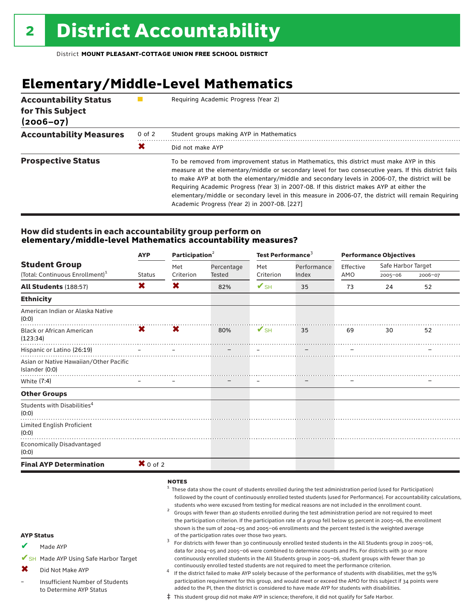### **Elementary/Middle-Level Mathematics**

| <b>Accountability Status</b><br>for This Subject<br>$(2006 - 07)$ |            | Requiring Academic Progress (Year 2)                                                                                                                                                                                                                                                                                                                                                                                                                                                                                                                      |
|-------------------------------------------------------------------|------------|-----------------------------------------------------------------------------------------------------------------------------------------------------------------------------------------------------------------------------------------------------------------------------------------------------------------------------------------------------------------------------------------------------------------------------------------------------------------------------------------------------------------------------------------------------------|
| <b>Accountability Measures</b>                                    | $0$ of $2$ | Student groups making AYP in Mathematics                                                                                                                                                                                                                                                                                                                                                                                                                                                                                                                  |
|                                                                   | Х          | Did not make AYP                                                                                                                                                                                                                                                                                                                                                                                                                                                                                                                                          |
| <b>Prospective Status</b>                                         |            | To be removed from improvement status in Mathematics, this district must make AYP in this<br>measure at the elementary/middle or secondary level for two consecutive years. If this district fails<br>to make AYP at both the elementary/middle and secondary levels in 2006-07, the district will be<br>Requiring Academic Progress (Year 3) in 2007-08. If this district makes AYP at either the<br>elementary/middle or secondary level in this measure in 2006-07, the district will remain Requiring<br>Academic Progress (Year 2) in 2007-08. [227] |

#### How did students in each accountability group perform on **elementary/middle-level Mathematics accountability measures?**

|                                                          | Participation $2$<br><b>AYP</b>                                    |           |               | Test Performance <sup>3</sup> |                   |           | <b>Performance Objectives</b> |         |  |  |
|----------------------------------------------------------|--------------------------------------------------------------------|-----------|---------------|-------------------------------|-------------------|-----------|-------------------------------|---------|--|--|
| <b>Student Group</b>                                     |                                                                    | Met       | Percentage    | Met                           | Performance       | Effective | Safe Harbor Target            |         |  |  |
| (Total: Continuous Enrollment) <sup>1</sup>              | <b>Status</b>                                                      | Criterion | <b>Tested</b> | Criterion                     | Index             | AMO       | $2005 - 06$                   | 2006-07 |  |  |
| All Students (188:57)                                    | X                                                                  | X         | 82%           | $\mathbf{V}_{\text{SH}}$      | 35                | 73        | 24                            | 52      |  |  |
| <b>Ethnicity</b>                                         |                                                                    |           |               |                               |                   |           |                               |         |  |  |
| American Indian or Alaska Native<br>(0:0)                |                                                                    |           |               |                               |                   |           |                               |         |  |  |
| <b>Black or African American</b><br>(123:34)             | $\mathbf{x}$                                                       | X         | 80%           | $\mathbf{V}_{\text{SH}}$      | 35                | 69        | 30                            | 52      |  |  |
| Hispanic or Latino (26:19)                               | $\mathcal{L} = \{ \mathcal{L} \mid \mathcal{L} \in \mathcal{L} \}$ |           |               |                               |                   |           |                               |         |  |  |
| Asian or Native Hawaiian/Other Pacific<br>Islander (0:0) |                                                                    |           |               |                               |                   |           |                               |         |  |  |
| White (7:4)                                              |                                                                    |           |               | $\qquad \qquad \blacksquare$  | $\qquad \qquad -$ |           |                               |         |  |  |
| <b>Other Groups</b>                                      |                                                                    |           |               |                               |                   |           |                               |         |  |  |
| Students with Disabilities <sup>4</sup><br>(0:0)         |                                                                    |           |               |                               |                   |           |                               |         |  |  |
| Limited English Proficient<br>(0:0)                      |                                                                    |           |               |                               |                   |           |                               |         |  |  |
| <b>Economically Disadvantaged</b><br>(0:0)               |                                                                    |           |               |                               |                   |           |                               |         |  |  |
| <b>Final AYP Determination</b>                           | $\mathbf{X}$ 0 of 2                                                |           |               |                               |                   |           |                               |         |  |  |

#### **NOTES**

|                   |                                                            | These data show the count of students enrolled during the test administration period (used for Participation)<br>followed by the count of continuously enrolled tested students (used for Performance). For accountability calculations,<br>students who were excused from testing for medical reasons are not included in the enrollment count.<br>Groups with fewer than 40 students enrolled during the test administration period are not required to meet<br>the participation criterion. If the participation rate of a group fell below 95 percent in 2005-06, the enrollment<br>shown is the sum of 2004-05 and 2005-06 enrollments and the percent tested is the weighted average |
|-------------------|------------------------------------------------------------|--------------------------------------------------------------------------------------------------------------------------------------------------------------------------------------------------------------------------------------------------------------------------------------------------------------------------------------------------------------------------------------------------------------------------------------------------------------------------------------------------------------------------------------------------------------------------------------------------------------------------------------------------------------------------------------------|
| <b>AYP Status</b> |                                                            | of the participation rates over those two years.                                                                                                                                                                                                                                                                                                                                                                                                                                                                                                                                                                                                                                           |
|                   | Made AYP                                                   | For districts with fewer than 30 continuously enrolled tested students in the All Students group in 2005-06,<br>data for 2004-05 and 2005-06 were combined to determine counts and PIs. For districts with 30 or more                                                                                                                                                                                                                                                                                                                                                                                                                                                                      |
|                   | ✔SH Made AYP Using Safe Harbor Target                      | continuously enrolled students in the All Students group in 2005-06, student groups with fewer than 30                                                                                                                                                                                                                                                                                                                                                                                                                                                                                                                                                                                     |
|                   | Did Not Make AYP                                           | continuously enrolled tested students are not required to meet the performance criterion.<br>If the district failed to make AYP solely because of the performance of students with disabilities, met the 95%                                                                                                                                                                                                                                                                                                                                                                                                                                                                               |
|                   | Insufficient Number of Students<br>to Determine AYP Status | participation requirement for this group, and would meet or exceed the AMO for this subject if 34 points were<br>added to the PI, then the district is considered to have made AYP for students with disabilities.                                                                                                                                                                                                                                                                                                                                                                                                                                                                         |

‡ This student group did not make AYP in science; therefore, it did not qualify for Safe Harbor.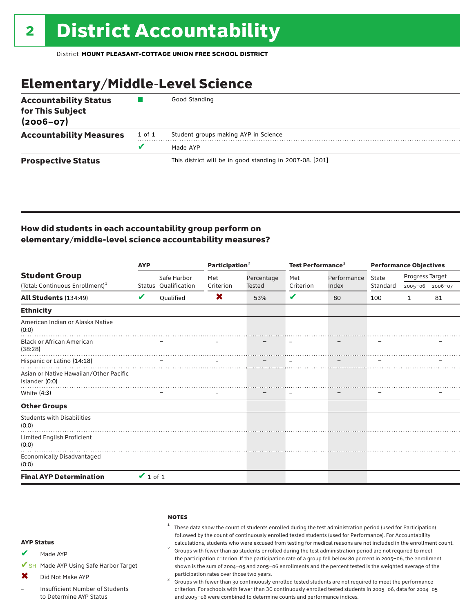### Elementary/Middle-Level Science

| <b>Accountability Status</b><br>for This Subject<br>$(2006 - 07)$ |        | Good Standing                                            |
|-------------------------------------------------------------------|--------|----------------------------------------------------------|
| <b>Accountability Measures</b>                                    | 1 of 1 | Student groups making AYP in Science                     |
|                                                                   | v      | Made AYP                                                 |
| <b>Prospective Status</b>                                         |        | This district will be in good standing in 2007-08. [201] |

#### How did students in each accountability group perform on elementary/middle-level science accountability measures?

|                                                          | <b>AYP</b>    |                      | Participation <sup>2</sup> |               | Test Performance <sup>3</sup> |             | <b>Performance Objectives</b> |                 |                 |
|----------------------------------------------------------|---------------|----------------------|----------------------------|---------------|-------------------------------|-------------|-------------------------------|-----------------|-----------------|
| <b>Student Group</b>                                     |               | Safe Harbor          | Met                        | Percentage    | Met                           | Performance | State                         | Progress Target |                 |
| (Total: Continuous Enrollment) <sup>1</sup>              |               | Status Qualification | Criterion                  | <b>Tested</b> | Criterion                     | Index       | Standard                      |                 | 2005-06 2006-07 |
| All Students (134:49)                                    | V             | Oualified            | X                          | 53%           | V                             | 80          | 100                           | $\mathbf{1}$    | 81              |
| <b>Ethnicity</b>                                         |               |                      |                            |               |                               |             |                               |                 |                 |
| American Indian or Alaska Native<br>(0:0)                |               |                      |                            |               |                               |             |                               |                 |                 |
| <b>Black or African American</b><br>(38:28)              |               |                      |                            |               |                               |             |                               |                 |                 |
| Hispanic or Latino (14:18)                               |               |                      |                            |               |                               |             |                               |                 |                 |
| Asian or Native Hawaiian/Other Pacific<br>Islander (0:0) |               |                      |                            |               |                               |             |                               |                 |                 |
| White (4:3)                                              |               |                      |                            |               |                               |             |                               |                 |                 |
| <b>Other Groups</b>                                      |               |                      |                            |               |                               |             |                               |                 |                 |
| <b>Students with Disabilities</b><br>(0:0)               |               |                      |                            |               |                               |             |                               |                 |                 |
| Limited English Proficient<br>(0:0)                      |               |                      |                            |               |                               |             |                               |                 |                 |
| <b>Economically Disadvantaged</b><br>(0:0)               |               |                      |                            |               |                               |             |                               |                 |                 |
| <b>Final AYP Determination</b>                           | $\vee$ 1 of 1 |                      |                            |               |                               |             |                               |                 |                 |

#### **NOTES**

- <sup>1</sup> These data show the count of students enrolled during the test administration period (used for Participation) followed by the count of continuously enrolled tested students (used for Performance). For Accountability
- calculations, students who were excused from testing for medical reasons are not included in the enrollment count.<br><sup>2</sup> Groups with fewer than 40 students enrolled during the test administration period are not required to m the participation criterion. If the participation rate of a group fell below 80 percent in 2005–06, the enrollment shown is the sum of 2004–05 and 2005–06 enrollments and the percent tested is the weighted average of the
- participation rates over those two years.<br> $3$  Groups with fewer than 30 continuously enrolled tested students are not required to meet the performance criterion. For schools with fewer than 30 continuously enrolled tested students in 2005–06, data for 2004–05 and 2005–06 were combined to determine counts and performance indices.

#### AYP Status

- Made AYP ✔
- ✔SH Made AYP Using Safe Harbor Target
- Did Not Make AYP  $\mathbf x$
- Insufficient Number of Students to Determine AYP Status –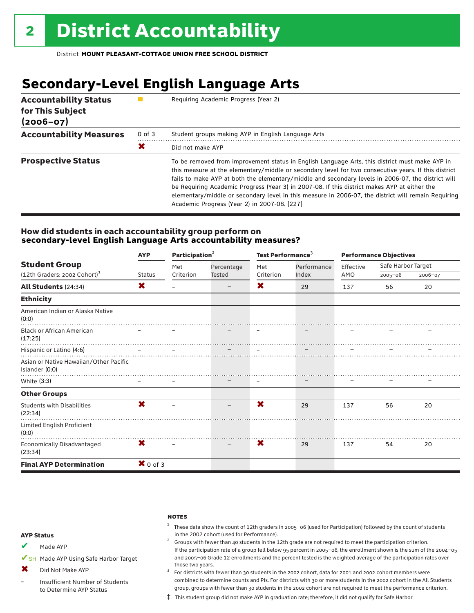### **Secondary-Level English Language Arts**

| <b>Accountability Status</b><br>for This Subject<br>$(2006 - 07)$ |            | Requiring Academic Progress (Year 2)                                                                                                                                                                                                                                                                                                                                                                                                                                                                                                                                |
|-------------------------------------------------------------------|------------|---------------------------------------------------------------------------------------------------------------------------------------------------------------------------------------------------------------------------------------------------------------------------------------------------------------------------------------------------------------------------------------------------------------------------------------------------------------------------------------------------------------------------------------------------------------------|
| <b>Accountability Measures</b>                                    | $0$ of $3$ | Student groups making AYP in English Language Arts                                                                                                                                                                                                                                                                                                                                                                                                                                                                                                                  |
|                                                                   | Х          | Did not make AYP                                                                                                                                                                                                                                                                                                                                                                                                                                                                                                                                                    |
| <b>Prospective Status</b>                                         |            | To be removed from improvement status in English Language Arts, this district must make AYP in<br>this measure at the elementary/middle or secondary level for two consecutive years. If this district<br>fails to make AYP at both the elementary/middle and secondary levels in 2006-07, the district will<br>be Requiring Academic Progress (Year 3) in 2007-08. If this district makes AYP at either the<br>elementary/middle or secondary level in this measure in 2006-07, the district will remain Requiring<br>Academic Progress (Year 2) in 2007-08. [227] |

#### How did students in each accountability group perform on **secondary-level English Language Arts accountability measures?**

|                                                          | <b>AYP</b>          |           | Participation <sup>2</sup> |                          | Test Performance <sup>3</sup> |           | <b>Performance Objectives</b> |         |  |
|----------------------------------------------------------|---------------------|-----------|----------------------------|--------------------------|-------------------------------|-----------|-------------------------------|---------|--|
| <b>Student Group</b>                                     |                     | Met       | Percentage                 | Met                      | Performance                   | Effective | Safe Harbor Target            |         |  |
| $(12th$ Graders: 2002 Cohort) <sup>1</sup>               | <b>Status</b>       | Criterion | <b>Tested</b>              | Criterion                | Index                         | AMO       | $2005 - 06$                   | 2006-07 |  |
| <b>All Students (24:34)</b>                              | X                   |           |                            | X                        | 29                            | 137       | 56                            | 20      |  |
| <b>Ethnicity</b>                                         |                     |           |                            |                          |                               |           |                               |         |  |
| American Indian or Alaska Native<br>(0:0)                |                     |           |                            |                          |                               |           |                               |         |  |
| <b>Black or African American</b><br>(17:25)              |                     |           |                            |                          |                               |           |                               |         |  |
| Hispanic or Latino (4:6)                                 |                     |           |                            |                          |                               |           |                               |         |  |
| Asian or Native Hawaiian/Other Pacific<br>Islander (0:0) |                     |           |                            |                          |                               |           |                               |         |  |
| White (3:3)                                              |                     |           |                            | $\overline{\phantom{m}}$ |                               |           |                               |         |  |
| <b>Other Groups</b>                                      |                     |           |                            |                          |                               |           |                               |         |  |
| <b>Students with Disabilities</b><br>(22:34)             | X                   |           |                            | X                        | 29                            | 137       | 56                            | 20      |  |
| Limited English Proficient<br>(0:0)                      |                     |           |                            |                          |                               |           |                               |         |  |
| <b>Economically Disadvantaged</b><br>(23:34)             | X                   |           |                            | X                        | 29                            | 137       | 54                            | 20      |  |
| <b>Final AYP Determination</b>                           | $\mathbf{X}$ 0 of 3 |           |                            |                          |                               |           |                               |         |  |

#### **NOTES**

 $1$  These data show the count of 12th graders in 2005-06 (used for Participation) followed by the count of students in the 2002 cohort (used for Performance).<br><sup>2</sup> Groups with fewer than 40 students in the 12th grade are not required to meet the participation criterion.

#### AYP Status

Made AYP ✔

✔SH Made AYP Using Safe Harbor Target

- Did Not Make AYP ✖
- Insufficient Number of Students to Determine AYP Status –

and 2005–06 Grade 12 enrollments and the percent tested is the weighted average of the participation rates over those two years.  $3$  For districts with fewer than 30 students in the 2002 cohort, data for 2001 and 2002 cohort members were

If the participation rate of a group fell below 95 percent in 2005–06, the enrollment shown is the sum of the 2004–05

combined to determine counts and PIs. For districts with 30 or more students in the 2002 cohort in the All Students group, groups with fewer than 30 students in the 2002 cohort are not required to meet the performance criterion.

‡ This student group did not make AYP in graduation rate; therefore, it did not qualify for Safe Harbor.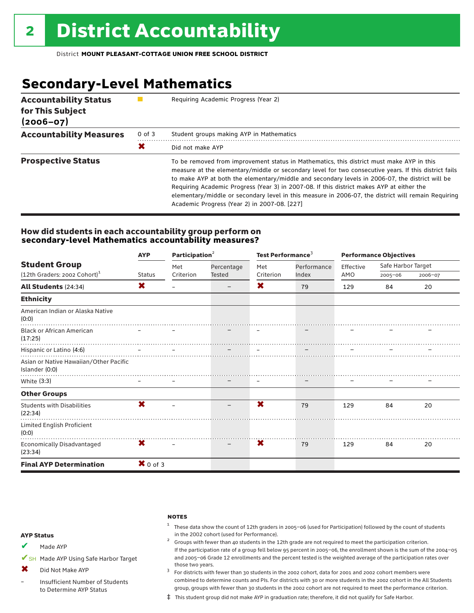### **Secondary-Level Mathematics**

| <b>Accountability Status</b><br>for This Subject<br>$(2006 - 07)$ |            | Requiring Academic Progress (Year 2)                                                                                                                                                                                                                                                                                                                                                                                                                                                                                                                      |
|-------------------------------------------------------------------|------------|-----------------------------------------------------------------------------------------------------------------------------------------------------------------------------------------------------------------------------------------------------------------------------------------------------------------------------------------------------------------------------------------------------------------------------------------------------------------------------------------------------------------------------------------------------------|
| <b>Accountability Measures</b>                                    | $0$ of $3$ | Student groups making AYP in Mathematics                                                                                                                                                                                                                                                                                                                                                                                                                                                                                                                  |
|                                                                   | X          | Did not make AYP                                                                                                                                                                                                                                                                                                                                                                                                                                                                                                                                          |
| <b>Prospective Status</b>                                         |            | To be removed from improvement status in Mathematics, this district must make AYP in this<br>measure at the elementary/middle or secondary level for two consecutive years. If this district fails<br>to make AYP at both the elementary/middle and secondary levels in 2006-07, the district will be<br>Requiring Academic Progress (Year 3) in 2007-08. If this district makes AYP at either the<br>elementary/middle or secondary level in this measure in 2006-07, the district will remain Requiring<br>Academic Progress (Year 2) in 2007-08. [227] |

#### How did students in each accountability group perform on **secondary-level Mathematics accountability measures?**

|                                                          | <b>AYP</b>          | Participation <sup>2</sup> |               | Test Performance <sup>3</sup> |             | <b>Performance Objectives</b> |                    |         |
|----------------------------------------------------------|---------------------|----------------------------|---------------|-------------------------------|-------------|-------------------------------|--------------------|---------|
| <b>Student Group</b>                                     |                     | Met                        | Percentage    | Met                           | Performance | Effective                     | Safe Harbor Target |         |
| $(12th$ Graders: 2002 Cohort) <sup>1</sup>               | <b>Status</b>       | Criterion                  | <b>Tested</b> | Criterion                     | Index       | AMO                           | $2005 - 06$        | 2006-07 |
| <b>All Students (24:34)</b>                              | X                   |                            |               | X                             | 79          | 129                           | 84                 | 20      |
| <b>Ethnicity</b>                                         |                     |                            |               |                               |             |                               |                    |         |
| American Indian or Alaska Native<br>(0:0)                |                     |                            |               |                               |             |                               |                    |         |
| <b>Black or African American</b><br>(17:25)              |                     |                            |               |                               |             |                               |                    |         |
| Hispanic or Latino (4:6)                                 |                     |                            |               |                               |             |                               |                    |         |
| Asian or Native Hawaiian/Other Pacific<br>Islander (0:0) |                     |                            |               |                               |             |                               |                    |         |
| White (3:3)                                              |                     |                            |               | $\qquad \qquad$               |             |                               |                    |         |
| <b>Other Groups</b>                                      |                     |                            |               |                               |             |                               |                    |         |
| <b>Students with Disabilities</b><br>(22:34)             | X                   |                            |               | X                             | 79          | 129                           | 84                 | 20      |
| Limited English Proficient<br>(0:0)                      |                     |                            |               |                               |             |                               |                    |         |
| <b>Economically Disadvantaged</b><br>(23:34)             | X                   |                            |               | X                             | 79          | 129                           | 84                 | 20      |
| <b>Final AYP Determination</b>                           | $\mathbf{X}$ 0 of 3 |                            |               |                               |             |                               |                    |         |

#### **NOTES**

 $1$  These data show the count of 12th graders in 2005-06 (used for Participation) followed by the count of students in the 2002 cohort (used for Performance).<br><sup>2</sup> Groups with fewer than 40 students in the 12th grade are not required to meet the participation criterion.

#### AYP Status

Made AYP ✔

✔SH Made AYP Using Safe Harbor Target

Did Not Make AYP  $\mathbf x$ 

Insufficient Number of Students to Determine AYP Status –

those two years.  $3$  For districts with fewer than 30 students in the 2002 cohort, data for 2001 and 2002 cohort members were combined to determine counts and PIs. For districts with 30 or more students in the 2002 cohort in the All Students group, groups with fewer than 30 students in the 2002 cohort are not required to meet the performance criterion.

If the participation rate of a group fell below 95 percent in 2005–06, the enrollment shown is the sum of the 2004–05 and 2005–06 Grade 12 enrollments and the percent tested is the weighted average of the participation rates over

‡ This student group did not make AYP in graduation rate; therefore, it did not qualify for Safe Harbor.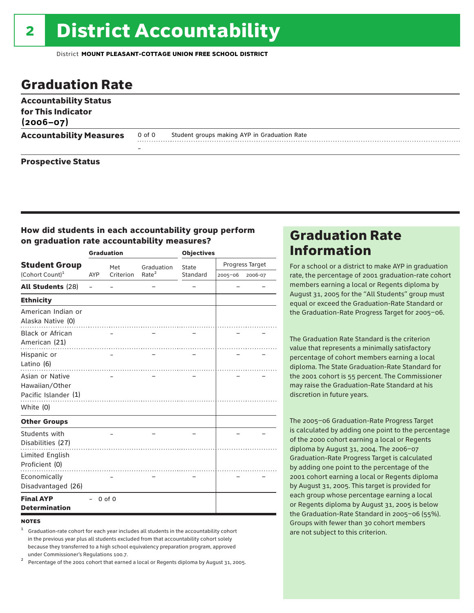### Graduation Rate

| <b>Accountability Status</b><br>for This Indicator<br>$(2006 - 07)$ |        |                                              |  |
|---------------------------------------------------------------------|--------|----------------------------------------------|--|
| <b>Accountability Measures</b>                                      | 0 of 0 | Student groups making AYP in Graduation Rate |  |
|                                                                     | -      |                                              |  |

#### Prospective Status

#### How did students in each accountability group perform on graduation rate accountability measures?

|                                                           |     | <b>Graduation</b> |                   | <b>Objectives</b> |         |                 |
|-----------------------------------------------------------|-----|-------------------|-------------------|-------------------|---------|-----------------|
| <b>Student Group</b>                                      |     | Met               | Graduation        | State             |         | Progress Target |
| (Cohort Count) <sup>1</sup>                               | AYP | Criterion         | Rate <sup>2</sup> | Standard          | 2005-06 | 2006-07         |
| <b>All Students (28)</b>                                  |     |                   |                   |                   |         |                 |
| <b>Ethnicity</b>                                          |     |                   |                   |                   |         |                 |
| American Indian or<br>Alaska Native (0)                   |     |                   |                   |                   |         |                 |
| Black or African<br>American (21)                         |     |                   |                   |                   |         |                 |
| Hispanic or<br>Latino (6)                                 |     |                   |                   |                   |         |                 |
| Asian or Native<br>Hawaiian/Other<br>Pacific Islander (1) |     |                   |                   |                   |         |                 |
| White (0)                                                 |     |                   |                   |                   |         |                 |
| <b>Other Groups</b>                                       |     |                   |                   |                   |         |                 |
| Students with<br>Disabilities (27)                        |     |                   | .                 |                   |         |                 |
| Limited English<br>Proficient (0)                         |     |                   |                   |                   |         |                 |
| Economically<br>Disadvantaged (26)                        |     |                   |                   |                   |         |                 |
| <b>Final AYP</b><br><b>Determination</b>                  |     | $0$ of $0$        |                   |                   |         |                 |

#### **NOTES**

<sup>1</sup> Graduation-rate cohort for each year includes all students in the accountability cohort in the previous year plus all students excluded from that accountability cohort solely because they transferred to a high school equivalency preparation program, approved

under Commissioner's Regulations 100.7. <sup>2</sup> Percentage of the 2001 cohort that earned a local or Regents diploma by August 31, 2005.

### Graduation Rate Information

For a school or a district to make AYP in graduation rate, the percentage of 2001 graduation-rate cohort members earning a local or Regents diploma by August 31, 2005 for the "All Students" group must equal or exceed the Graduation-Rate Standard or the Graduation-Rate Progress Target for 2005–06.

The Graduation Rate Standard is the criterion value that represents a minimally satisfactory percentage of cohort members earning a local diploma. The State Graduation-Rate Standard for the 2001 cohort is 55 percent. The Commissioner may raise the Graduation-Rate Standard at his discretion in future years.

The 2005–06 Graduation-Rate Progress Target is calculated by adding one point to the percentage of the 2000 cohort earning a local or Regents diploma by August 31, 2004. The 2006–07 Graduation-Rate Progress Target is calculated by adding one point to the percentage of the 2001 cohort earning a local or Regents diploma by August 31, 2005. This target is provided for each group whose percentage earning a local or Regents diploma by August 31, 2005 is below the Graduation-Rate Standard in 2005–06 (55%). Groups with fewer than 30 cohort members are not subject to this criterion.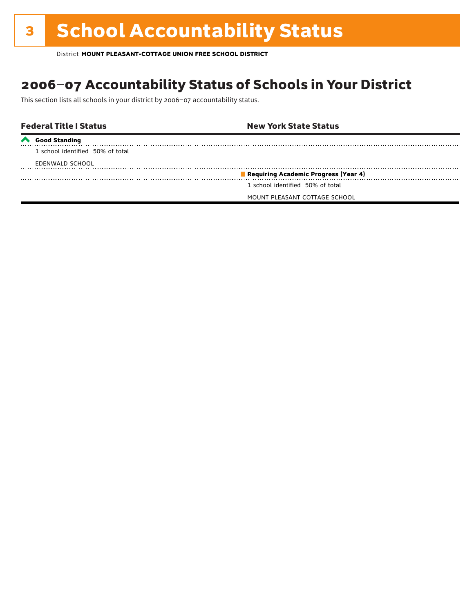## **3 School Accountability Status**

District **MOUNT PLEASANT-COTTAGE UNION FREE SCHOOL DISTRICT**

### 2006–07 Accountability Status of Schools in Your District

This section lists all schools in your district by 2006–07 accountability status.

| <b>Federal Title I Status</b>    | <b>New York State Status</b>         |
|----------------------------------|--------------------------------------|
| <b>Good Standing</b>             |                                      |
| 1 school identified 50% of total |                                      |
| EDENWALD SCHOOL                  |                                      |
|                                  | Requiring Academic Progress (Year 4) |
|                                  | 1 school identified 50% of total     |
|                                  | MOUNT PLEASANT COTTAGE SCHOOL        |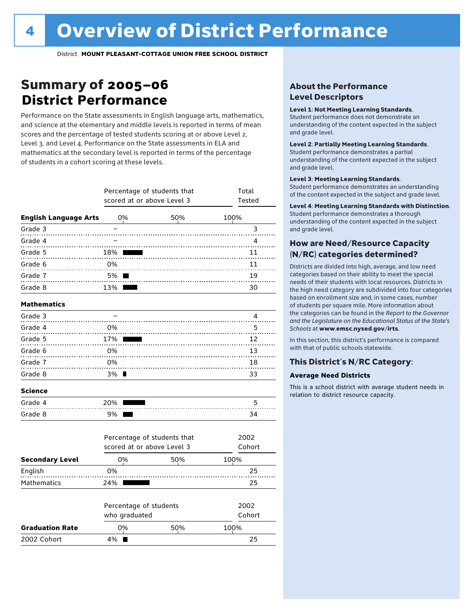### Summary of 2005–06 **District Performance**

Performance on the State assessments in English language arts, mathematics, and science at the elementary and middle levels is reported in terms of mean scores and the percentage of tested students scoring at or above Level 2, Level 3, and Level 4. Performance on the State assessments in ELA and mathematics at the secondary level is reported in terms of the percentage of students in a cohort scoring at these levels.

|                              | scored at or above Level 3              | Percentage of students that | Total<br>Tested |
|------------------------------|-----------------------------------------|-----------------------------|-----------------|
| <b>English Language Arts</b> | 0%                                      | 50%                         | 100%            |
| Grade 3                      |                                         |                             | 3               |
| Grade 4                      |                                         |                             | 4               |
| Grade 5                      | 18%                                     |                             | 11              |
| Grade 6                      | 0%                                      |                             | 11              |
| Grade 7                      | 5%                                      |                             | 19              |
| Grade 8                      | 13%                                     |                             | 30              |
| <b>Mathematics</b>           |                                         |                             |                 |
| Grade 3                      |                                         |                             | 4               |
| Grade 4                      | 0%                                      |                             | 5               |
| Grade 5                      | 17%                                     |                             | 12              |
| Grade 6                      | 0%                                      |                             | 13              |
| Grade 7                      | 0%                                      |                             | 18              |
| Grade 8                      | $3\%$ $\blacksquare$                    |                             | 33              |
| <b>Science</b>               |                                         |                             |                 |
| Grade 4                      | 20%                                     |                             | 5               |
| Grade 8                      | 9%                                      |                             | 34              |
|                              | scored at or above Level 3              | Percentage of students that | 2002<br>Cohort  |
|                              |                                         |                             |                 |
| <b>Secondary Level</b>       | 0%                                      | 50%                         | 100%            |
| English                      | 0%                                      |                             | 25              |
| Mathematics                  | 24%                                     |                             | 25              |
|                              | Percentage of students<br>who graduated |                             | 2002<br>Cohort  |
| <b>Graduation Rate</b>       | 0%                                      | 50%                         | 100%            |
| 2002 Cohort                  | 4%<br>H.                                |                             | 25              |

#### About the Performance Level Descriptors

#### Level 1: Not Meeting Learning Standards.

Student performance does not demonstrate an understanding of the content expected in the subject and grade level.

#### Level 2: Partially Meeting Learning Standards.

Student performance demonstrates a partial understanding of the content expected in the subject and grade level.

#### Level 3: Meeting Learning Standards.

Student performance demonstrates an understanding of the content expected in the subject and grade level.

#### Level 4: Meeting Learning Standards with Distinction.

Student performance demonstrates a thorough understanding of the content expected in the subject and grade level.

#### How are Need/Resource Capacity (N/RC) categories determined?

Districts are divided into high, average, and low need categories based on their ability to meet the special needs of their students with local resources. Districts in the high need category are subdivided into four categories based on enrollment size and, in some cases, number of students per square mile. More information about the categories can be found in the *Report to the Governor and the Legislature on the Educational Status of the State's Schools* at www.emsc.nysed.gov/irts.

In this section, this district's performance is compared with that of public schools statewide.

#### This District's N/RC Category:

#### **Average Need Districts**

This is a school district with average student needs in relation to district resource capacity.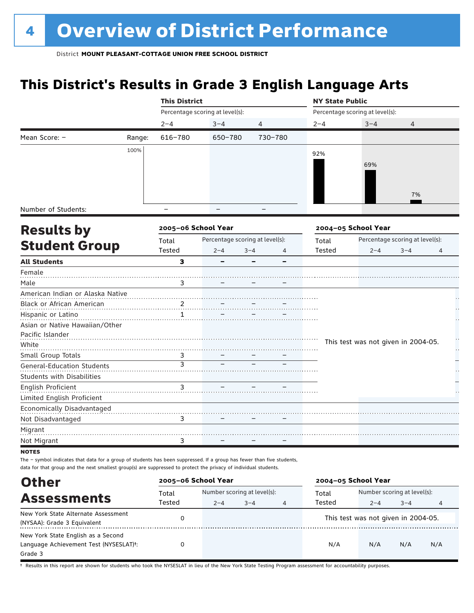### **This District's Results in Grade 3 English Language Arts**

|                                   |        | <b>This District</b> |                                 |              | <b>NY State Public</b> |                                     |                                 |   |
|-----------------------------------|--------|----------------------|---------------------------------|--------------|------------------------|-------------------------------------|---------------------------------|---|
|                                   |        |                      | Percentage scoring at level(s): |              |                        | Percentage scoring at level(s):     |                                 |   |
|                                   |        | $2 - 4$              | $3 - 4$                         | 4            | $2 - 4$                | $3 - 4$                             | 4                               |   |
| Mean Score: -                     | Range: | $616 - 780$          | 650-780                         | 730-780      |                        |                                     |                                 |   |
|                                   | 100%   |                      |                                 |              | 92%                    |                                     |                                 |   |
|                                   |        |                      |                                 |              |                        | 69%                                 |                                 |   |
|                                   |        |                      |                                 |              |                        |                                     |                                 |   |
|                                   |        |                      |                                 |              |                        |                                     |                                 |   |
|                                   |        |                      |                                 |              |                        |                                     | 7%                              |   |
| Number of Students:               |        |                      |                                 |              |                        |                                     |                                 |   |
| <b>Results by</b>                 |        | 2005-06 School Year  |                                 |              |                        | 2004-05 School Year                 |                                 |   |
|                                   |        | Total                | Percentage scoring at level(s): |              | Total                  |                                     | Percentage scoring at level(s): |   |
| <b>Student Group</b>              |        | Tested               | $2 - 4$                         | $3 - 4$<br>4 | Tested                 | $2 - 4$                             | $3 - 4$                         | 4 |
| <b>All Students</b>               |        | 3                    |                                 |              |                        |                                     |                                 |   |
| Female                            |        |                      |                                 |              |                        |                                     |                                 |   |
| Male                              |        | 3                    |                                 |              |                        |                                     |                                 |   |
| American Indian or Alaska Native  |        |                      |                                 |              |                        |                                     |                                 |   |
| Black or African American         |        |                      |                                 |              |                        |                                     |                                 |   |
| Hispanic or Latino                |        | $\mathbf{1}$         |                                 |              |                        |                                     |                                 |   |
| Asian or Native Hawaiian/Other    |        |                      |                                 |              |                        |                                     |                                 |   |
| Pacific Islander                  |        |                      |                                 |              |                        |                                     |                                 | H |
| White                             |        |                      |                                 |              |                        | This test was not given in 2004-05. |                                 | Н |
| Small Group Totals                |        | 3                    |                                 |              |                        |                                     |                                 |   |
| <b>General-Education Students</b> |        | $\overline{3}$       |                                 |              |                        |                                     |                                 |   |
| <b>Students with Disabilities</b> |        |                      |                                 |              |                        |                                     |                                 |   |
| English Proficient                |        | 3                    |                                 |              |                        |                                     |                                 |   |
| Limited English Proficient        |        |                      |                                 |              |                        |                                     |                                 |   |
| Economically Disadvantaged        |        |                      |                                 |              |                        |                                     |                                 |   |
| Not Disadvantaged                 |        | 3                    |                                 |              |                        |                                     |                                 |   |
| Migrant                           |        |                      |                                 |              |                        |                                     |                                 |   |
| Not Migrant                       |        | 3                    |                                 |              |                        |                                     |                                 |   |
| UATER                             |        |                      |                                 |              |                        |                                     |                                 |   |

**NOTES** 

The – symbol indicates that data for a group of students has been suppressed. If a group has fewer than five students, data for that group and the next smallest group(s) are suppressed to protect the privacy of individual students.

| <b>Other</b>                                                                                         | 2005-06 School Year |         |                                        |   | 2004-05 School Year |                                        |         |     |
|------------------------------------------------------------------------------------------------------|---------------------|---------|----------------------------------------|---|---------------------|----------------------------------------|---------|-----|
| <b>Assessments</b>                                                                                   | Total<br>Tested     | $2 - 4$ | Number scoring at level(s):<br>$3 - 4$ | 4 | Total<br>Tested     | Number scoring at level(s):<br>$2 - 4$ | $3 - 4$ | 4   |
| New York State Alternate Assessment<br>(NYSAA): Grade 3 Equivalent                                   |                     |         |                                        |   |                     | This test was not given in 2004-05.    |         |     |
| New York State English as a Second<br>Language Achievement Test (NYSESLAT) <sup>+</sup> :<br>Grade 3 |                     |         |                                        |   | N/A                 | N/A                                    | N/A     | N/A |

† Results in this report are shown for students who took the NYSESLAT in lieu of the New York State Testing Program assessment for accountability purposes.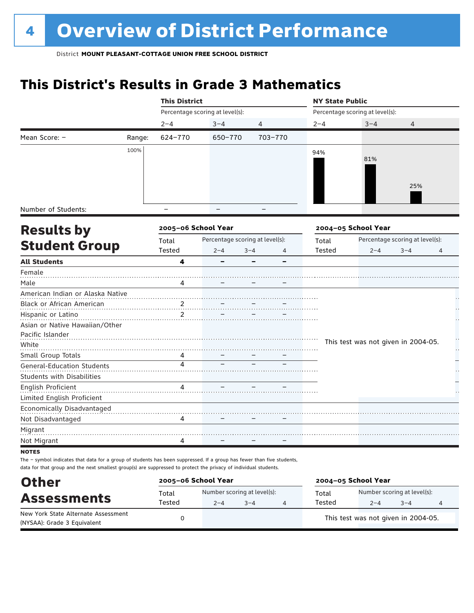### **This District's Results in Grade 3 Mathematics**

|                                   |        | <b>This District</b> |                                 |                               | <b>NY State Public</b> |                                     |                                 |    |
|-----------------------------------|--------|----------------------|---------------------------------|-------------------------------|------------------------|-------------------------------------|---------------------------------|----|
|                                   |        |                      | Percentage scoring at level(s): |                               |                        | Percentage scoring at level(s):     |                                 |    |
|                                   |        | $2 - 4$              | $3 - 4$                         | 4                             | $2 - 4$                | $3 - 4$                             | 4                               |    |
| Mean Score: -                     | Range: | 624-770              | 650-770                         | 703-770                       |                        |                                     |                                 |    |
|                                   | 100%   |                      |                                 |                               | 94%                    |                                     |                                 |    |
|                                   |        |                      |                                 |                               |                        | 81%                                 |                                 |    |
|                                   |        |                      |                                 |                               |                        |                                     |                                 |    |
|                                   |        |                      |                                 |                               |                        |                                     | 25%                             |    |
|                                   |        |                      |                                 |                               |                        |                                     |                                 |    |
| Number of Students:               |        |                      |                                 |                               |                        |                                     |                                 |    |
| <b>Results by</b>                 |        | 2005-06 School Year  |                                 |                               |                        | 2004-05 School Year                 |                                 |    |
|                                   |        | Total                | Percentage scoring at level(s): |                               | Total                  |                                     | Percentage scoring at level(s): |    |
| <b>Student Group</b>              |        | Tested               | $2 - 4$                         | $3 - 4$<br>4                  | Tested                 | $2 - 4$                             | $3 - 4$                         | 4  |
| <b>All Students</b>               |        | 4                    | -                               | $\overline{\phantom{0}}$<br>- |                        |                                     |                                 |    |
| Female                            |        |                      |                                 |                               |                        |                                     |                                 |    |
| Male                              |        | 4                    |                                 |                               |                        |                                     |                                 |    |
| American Indian or Alaska Native  |        |                      |                                 |                               |                        |                                     |                                 |    |
| Black or African American         |        | $\overline{.}^2$ .   |                                 |                               |                        |                                     |                                 |    |
| Hispanic or Latino                |        | 2                    |                                 |                               |                        |                                     |                                 |    |
| Asian or Native Hawaiian/Other    |        |                      |                                 |                               |                        |                                     |                                 |    |
| Pacific Islander                  |        |                      |                                 |                               |                        |                                     |                                 | H  |
| White                             |        |                      |                                 |                               |                        | This test was not given in 2004-05. |                                 | ŗ, |
| Small Group Totals                |        | 4                    |                                 |                               |                        |                                     |                                 |    |
| <b>General-Education Students</b> |        | 4                    |                                 |                               |                        |                                     |                                 |    |
| <b>Students with Disabilities</b> |        |                      |                                 |                               |                        |                                     |                                 |    |
| English Proficient                |        | 4                    |                                 |                               |                        |                                     |                                 |    |
| Limited English Proficient        |        |                      |                                 |                               |                        |                                     |                                 |    |
| Economically Disadvantaged        |        |                      |                                 |                               |                        |                                     |                                 |    |
| Not Disadvantaged                 |        | 4                    |                                 |                               |                        |                                     |                                 |    |
| Migrant                           |        |                      |                                 |                               |                        |                                     |                                 |    |
| Not Migrant                       |        | 4                    |                                 |                               |                        |                                     |                                 |    |
| <b>NOTES</b>                      |        |                      |                                 |                               |                        |                                     |                                 |    |

| <b>Other</b>                                                       | 2005-06 School Year |         |                                        | 2004-05 School Year |                                        |         |   |  |
|--------------------------------------------------------------------|---------------------|---------|----------------------------------------|---------------------|----------------------------------------|---------|---|--|
| <b>Assessments</b>                                                 | Total<br>Tested     | $2 - 4$ | Number scoring at level(s):<br>$3 - 4$ | Total<br>Tested     | Number scoring at level(s):<br>$2 - 4$ | $3 - 4$ | 4 |  |
| New York State Alternate Assessment<br>(NYSAA): Grade 3 Equivalent |                     |         |                                        |                     | This test was not given in 2004-05.    |         |   |  |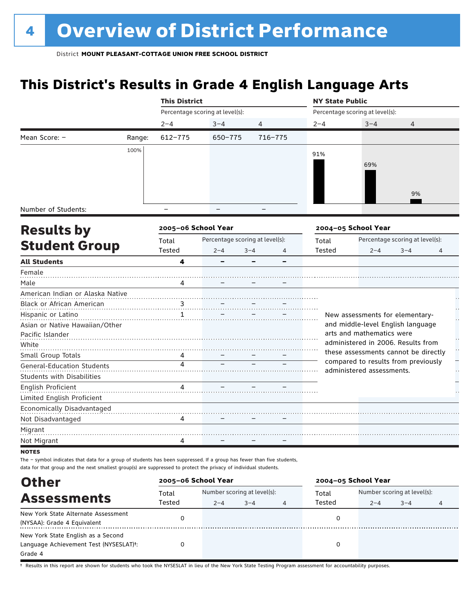### **This District's Results in Grade 4 English Language Arts**

|                                   |        | <b>This District</b> |                                 |                |         | <b>NY State Public</b> |                                                                             |                                 |               |
|-----------------------------------|--------|----------------------|---------------------------------|----------------|---------|------------------------|-----------------------------------------------------------------------------|---------------------------------|---------------|
|                                   |        |                      | Percentage scoring at level(s): |                |         |                        | Percentage scoring at level(s):                                             |                                 |               |
|                                   |        | $2 - 4$              | $3 - 4$                         | $\overline{4}$ |         | $2 - 4$                | $3 - 4$                                                                     | 4                               |               |
| Mean Score: -                     | Range: | $612 - 775$          | 650-775                         |                | 716-775 |                        |                                                                             |                                 |               |
|                                   | 100%   |                      |                                 |                |         |                        |                                                                             |                                 |               |
|                                   |        |                      |                                 |                |         | 91%                    | 69%                                                                         |                                 |               |
|                                   |        |                      |                                 |                |         |                        |                                                                             |                                 |               |
|                                   |        |                      |                                 |                |         |                        |                                                                             |                                 |               |
|                                   |        |                      |                                 |                |         |                        |                                                                             | 9%                              |               |
|                                   |        |                      |                                 |                |         |                        |                                                                             |                                 |               |
| Number of Students:               |        |                      |                                 |                |         |                        |                                                                             |                                 |               |
| <b>Results by</b>                 |        | 2005-06 School Year  |                                 |                |         |                        | 2004-05 School Year                                                         |                                 |               |
|                                   |        | Total                | Percentage scoring at level(s): |                |         | Total                  |                                                                             | Percentage scoring at level(s): |               |
| <b>Student Group</b>              |        | Tested               | $2 - 4$                         | $3 - 4$        | 4       | Tested                 | $2 - 4$                                                                     | $3 - 4$                         | 4             |
| <b>All Students</b>               |        | 4                    |                                 |                |         |                        |                                                                             |                                 |               |
| Female                            |        |                      |                                 |                |         |                        |                                                                             |                                 |               |
| Male                              |        | 4                    |                                 |                |         |                        |                                                                             |                                 |               |
| American Indian or Alaska Native  |        |                      |                                 |                |         |                        |                                                                             |                                 |               |
| Black or African American         |        | $\frac{3}{2}$        |                                 |                |         |                        |                                                                             |                                 |               |
| Hispanic or Latino                |        | 1                    |                                 |                |         |                        | New assessments for elementary-                                             |                                 | L,            |
| Asian or Native Hawaiian/Other    |        |                      |                                 |                |         |                        | and middle-level English language                                           |                                 |               |
| Pacific Islander                  |        |                      |                                 |                |         |                        | arts and mathematics were                                                   |                                 |               |
| White                             |        |                      |                                 |                |         |                        | administered in 2006. Results from                                          |                                 | $\frac{1}{2}$ |
| Small Group Totals                |        | 4                    |                                 |                |         |                        | these assessments cannot be directly<br>compared to results from previously |                                 | Ē             |
| <b>General-Education Students</b> |        | 4                    |                                 |                |         |                        | administered assessments.                                                   |                                 | ŗ,            |
| Students with Disabilities        |        |                      |                                 |                |         |                        |                                                                             |                                 |               |
| English Proficient                |        | 4                    |                                 |                |         |                        |                                                                             |                                 |               |
| Limited English Proficient        |        |                      |                                 |                |         |                        |                                                                             |                                 |               |
| Economically Disadvantaged        |        |                      |                                 |                |         |                        |                                                                             |                                 |               |
| Not Disadvantaged                 |        | 4                    |                                 |                |         |                        |                                                                             |                                 |               |
| Migrant                           |        |                      |                                 |                |         |                        |                                                                             |                                 |               |
| Not Migrant                       |        | 4                    |                                 |                |         |                        |                                                                             |                                 |               |
|                                   |        |                      |                                 |                |         |                        |                                                                             |                                 |               |

**NOTES** 

The – symbol indicates that data for a group of students has been suppressed. If a group has fewer than five students, data for that group and the next smallest group(s) are suppressed to protect the privacy of individual students.

| <b>Other</b>                                                                                         | 2005-06 School Year |         |                                        |   | 2004-05 School Year |         |                                        |  |
|------------------------------------------------------------------------------------------------------|---------------------|---------|----------------------------------------|---|---------------------|---------|----------------------------------------|--|
| <b>Assessments</b>                                                                                   | Total<br>Tested     | $2 - 4$ | Number scoring at level(s):<br>$3 - 4$ | 4 | Total<br>Tested     | $2 - 4$ | Number scoring at level(s):<br>$3 - 4$ |  |
| New York State Alternate Assessment<br>(NYSAA): Grade 4 Equivalent                                   |                     |         |                                        |   | 0                   |         |                                        |  |
| New York State English as a Second<br>Language Achievement Test (NYSESLAT) <sup>+</sup> :<br>Grade 4 |                     |         |                                        |   |                     |         |                                        |  |

† Results in this report are shown for students who took the NYSESLAT in lieu of the New York State Testing Program assessment for accountability purposes.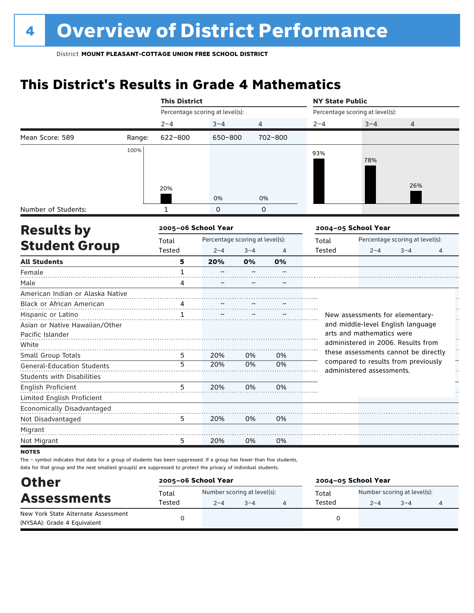### **This District's Results in Grade 4 Mathematics**

|                                   |        | <b>This District</b> |                                 |          |         | <b>NY State Public</b>            |                                                                             |                                 |              |  |
|-----------------------------------|--------|----------------------|---------------------------------|----------|---------|-----------------------------------|-----------------------------------------------------------------------------|---------------------------------|--------------|--|
|                                   |        |                      | Percentage scoring at level(s): |          |         |                                   | Percentage scoring at level(s):                                             |                                 |              |  |
|                                   |        | $2 - 4$              | $3 - 4$                         | 4        |         | $2 - 4$                           | $3 - 4$                                                                     | 4                               |              |  |
| Mean Score: 589                   | Range: | 622-800              | 650-800                         |          | 702-800 |                                   |                                                                             |                                 |              |  |
|                                   | 100%   |                      |                                 |          |         | 93%                               |                                                                             |                                 |              |  |
|                                   |        |                      |                                 |          |         |                                   | 78%                                                                         |                                 |              |  |
|                                   |        |                      |                                 |          |         |                                   |                                                                             |                                 |              |  |
|                                   |        | 20%                  |                                 |          |         |                                   |                                                                             | 26%                             |              |  |
|                                   |        |                      | 0%                              | 0%       |         |                                   |                                                                             |                                 |              |  |
| Number of Students:               |        | 1                    | $\Omega$                        | $\Omega$ |         |                                   |                                                                             |                                 |              |  |
| <b>Results by</b>                 |        | 2005-06 School Year  |                                 |          |         |                                   | 2004-05 School Year                                                         |                                 |              |  |
|                                   |        | Total                | Percentage scoring at level(s): |          |         | Total                             |                                                                             | Percentage scoring at level(s): |              |  |
| <b>Student Group</b>              |        | Tested               | $2 - 4$                         | $3 - 4$  | 4       | Tested                            | $2 - 4$                                                                     | $3 - 4$                         | 4            |  |
| <b>All Students</b>               |        | 5                    | 20%                             | 0%       | 0%      |                                   |                                                                             |                                 |              |  |
| Female                            |        | $\mathbf{1}$         |                                 |          |         |                                   |                                                                             |                                 |              |  |
| Male                              |        | 4                    |                                 |          |         |                                   |                                                                             |                                 |              |  |
| American Indian or Alaska Native  |        |                      |                                 |          |         |                                   |                                                                             |                                 |              |  |
| Black or African American         |        | 4                    |                                 |          |         |                                   |                                                                             |                                 |              |  |
| Hispanic or Latino                |        | 1                    |                                 |          |         |                                   | New assessments for elementary-                                             |                                 | $\mathbf{L}$ |  |
| Asian or Native Hawaiian/Other    |        |                      |                                 |          |         | and middle-level English language |                                                                             |                                 |              |  |
| Pacific Islander                  |        |                      |                                 |          |         |                                   | arts and mathematics were                                                   |                                 |              |  |
| White                             |        |                      |                                 |          |         |                                   | administered in 2006. Results from                                          |                                 | n<br>H       |  |
| Small Group Totals                |        | 5                    | 20%                             | 0%       | 0%      |                                   | these assessments cannot be directly<br>compared to results from previously |                                 |              |  |
| <b>General-Education Students</b> |        | 5                    | 20%                             | 0%       | 0%      |                                   | administered assessments.                                                   |                                 | . .          |  |
| <b>Students with Disabilities</b> |        |                      |                                 |          |         |                                   |                                                                             |                                 |              |  |
| <b>English Proficient</b>         |        | 5                    | 20%                             | 0%       | 0%      |                                   |                                                                             |                                 |              |  |
| Limited English Proficient        |        |                      |                                 |          |         |                                   |                                                                             |                                 |              |  |
| Economically Disadvantaged        |        |                      |                                 |          |         |                                   |                                                                             |                                 |              |  |
| Not Disadvantaged                 |        | 5                    | 20%                             | 0%       | 0%      |                                   |                                                                             |                                 |              |  |
| Migrant                           |        |                      |                                 |          |         |                                   |                                                                             |                                 |              |  |
| Not Migrant                       |        | 5                    | 20%                             | 0%       | 0%      |                                   |                                                                             |                                 |              |  |
| <b>NOTES</b>                      |        |                      |                                 |          |         |                                   |                                                                             |                                 |              |  |

| <b>Other</b>                                                       | 2005-06 School Year |         |                                        | 2004-05 School Year |                                        |         |  |  |
|--------------------------------------------------------------------|---------------------|---------|----------------------------------------|---------------------|----------------------------------------|---------|--|--|
| <b>Assessments</b>                                                 | Total<br>Tested     | $2 - 4$ | Number scoring at level(s):<br>$3 - 4$ | Total<br>Tested     | Number scoring at level(s):<br>$2 - 4$ | $3 - 4$ |  |  |
| New York State Alternate Assessment<br>(NYSAA): Grade 4 Equivalent |                     |         |                                        |                     |                                        |         |  |  |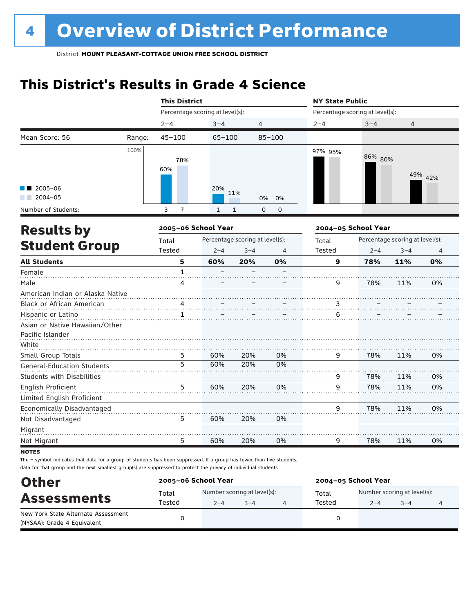### **This District's Results in Grade 4 Science**

|                                                    |        | <b>This District</b>            |            |                                 |             | <b>NY State Public</b>          |         |                                 |                |
|----------------------------------------------------|--------|---------------------------------|------------|---------------------------------|-------------|---------------------------------|---------|---------------------------------|----------------|
|                                                    |        | Percentage scoring at level(s): |            |                                 |             | Percentage scoring at level(s): |         |                                 |                |
|                                                    |        | $2 - 4$                         | $3 - 4$    | 4                               |             | $2 - 4$                         | $3 - 4$ | 4                               |                |
| Mean Score: 56                                     | Range: | $45 - 100$                      | $65 - 100$ |                                 | $85 - 100$  |                                 |         |                                 |                |
| 2005-06                                            | 100%   | 78%<br>60%                      | 20%        |                                 |             | 97% 95%                         | 86% 80% |                                 | 49% 42%        |
| $2004 - 05$                                        |        |                                 |            | 11%                             | 0%<br>0%    |                                 |         |                                 |                |
| Number of Students:                                |        | 3<br>$\overline{1}$             | 1          | $\mathsf 0$<br>$\mathbf{1}$     | $\mathbf 0$ |                                 |         |                                 |                |
| <b>Results by</b>                                  |        | 2005-06 School Year             |            |                                 |             | 2004-05 School Year             |         |                                 |                |
|                                                    |        | Total                           |            | Percentage scoring at level(s): |             | Total                           |         | Percentage scoring at level(s): |                |
| <b>Student Group</b>                               |        | Tested                          | $2 - 4$    | $3 - 4$                         | 4           | Tested                          | $2 - 4$ | $3 - 4$                         | $\overline{4}$ |
| <b>All Students</b>                                |        | 5                               | 60%        | 20%                             | 0%          | 9                               | 78%     | 11%                             | 0%             |
| Female                                             |        | $\mathbf{1}$                    |            |                                 |             |                                 |         |                                 |                |
| Male                                               |        | 4                               |            |                                 |             | 9                               | 78%     | 11%                             | 0%             |
| American Indian or Alaska Native                   |        |                                 |            |                                 |             |                                 |         |                                 |                |
| Black or African American                          |        | 4                               |            |                                 |             | 3                               |         |                                 |                |
| Hispanic or Latino                                 |        | 1                               |            |                                 |             | 6                               |         |                                 |                |
| Asian or Native Hawaiian/Other<br>Pacific Islander |        |                                 |            |                                 |             |                                 |         |                                 |                |
| White                                              |        |                                 |            |                                 |             |                                 |         |                                 |                |
| Small Group Totals                                 |        | 5                               | 60%        | 20%                             | 0%          | 9                               | 78%     | 11%                             | 0%             |
| <b>General-Education Students</b>                  |        | 5                               | 60%        | 20%                             | 0%          |                                 |         |                                 |                |
| <b>Students with Disabilities</b>                  |        |                                 |            |                                 |             | 9                               | 78%     | 11%                             | 0%             |
| <b>English Proficient</b>                          |        | 5                               | 60%        | 20%                             | 0%          | 9                               | 78%     | 11%                             | 0%             |
| Limited English Proficient                         |        |                                 |            |                                 |             |                                 |         |                                 |                |
| Economically Disadvantaged                         |        |                                 |            |                                 |             | 9                               | 78%     | 11%                             | 0%             |
| Not Disadvantaged                                  |        | 5                               | 60%        | 20%                             | 0%          |                                 |         |                                 |                |
| Migrant                                            |        |                                 |            |                                 |             |                                 |         |                                 |                |
| Not Migrant                                        |        | 5                               | 60%        | 20%                             | 0%          | 9                               | 78%     | 11%                             | 0%             |
| <b>NOTES</b>                                       |        |                                 |            |                                 |             |                                 |         |                                 |                |

| <b>Other</b>                                                       | 2005-06 School Year |         |                                        | 2004-05 School Year |                                        |         |  |  |
|--------------------------------------------------------------------|---------------------|---------|----------------------------------------|---------------------|----------------------------------------|---------|--|--|
| <b>Assessments</b>                                                 | Total<br>Tested     | $2 - 4$ | Number scoring at level(s):<br>$3 - 4$ | Total<br>Tested     | Number scoring at level(s):<br>$2 - 4$ | $3 - 4$ |  |  |
| New York State Alternate Assessment<br>(NYSAA): Grade 4 Equivalent |                     |         |                                        |                     |                                        |         |  |  |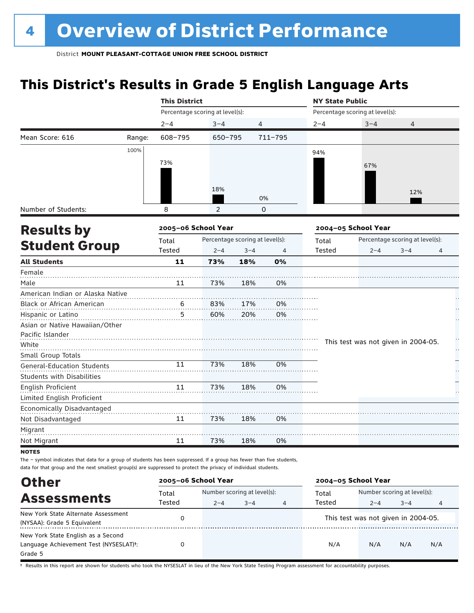### **This District's Results in Grade 5 English Language Arts**

|                                   |        | <b>This District</b>            |                                 |         |             | <b>NY State Public</b> |                                     |                                 |                      |
|-----------------------------------|--------|---------------------------------|---------------------------------|---------|-------------|------------------------|-------------------------------------|---------------------------------|----------------------|
|                                   |        | Percentage scoring at level(s): |                                 |         |             |                        | Percentage scoring at level(s):     |                                 |                      |
|                                   |        | $2 - 4$                         | $3 - 4$                         | 4       |             | $2 - 4$                | $3 - 4$                             | $\overline{4}$                  |                      |
| Mean Score: 616                   | Range: | 608-795                         | 650-795                         |         | $711 - 795$ |                        |                                     |                                 |                      |
|                                   | 100%   |                                 |                                 |         |             | 94%                    |                                     |                                 |                      |
|                                   |        | 73%                             |                                 |         |             |                        |                                     |                                 |                      |
|                                   |        |                                 |                                 |         |             |                        | 67%                                 |                                 |                      |
|                                   |        |                                 |                                 |         |             |                        |                                     |                                 |                      |
|                                   |        |                                 | 18%                             |         | 0%          |                        |                                     | 12%                             |                      |
|                                   |        |                                 |                                 |         |             |                        |                                     |                                 |                      |
| Number of Students:               |        | 8                               | $\overline{2}$                  |         | $\Omega$    |                        |                                     |                                 |                      |
| <b>Results by</b>                 |        | 2005-06 School Year             |                                 |         |             |                        | 2004-05 School Year                 |                                 |                      |
|                                   |        | Total                           | Percentage scoring at level(s): |         |             | Total                  |                                     | Percentage scoring at level(s): |                      |
| <b>Student Group</b>              |        | Tested                          | $2 - 4$                         | $3 - 4$ | 4           | Tested                 | $2 - 4$                             | $3 - 4$                         | 4                    |
| <b>All Students</b>               |        | 11                              | 73%                             | 18%     | 0%          |                        |                                     |                                 |                      |
| Female                            |        |                                 |                                 |         |             |                        |                                     |                                 |                      |
| Male                              |        | 11                              | 73%                             | 18%     | 0%          |                        |                                     |                                 |                      |
| American Indian or Alaska Native  |        |                                 |                                 |         |             |                        |                                     |                                 |                      |
| Black or African American         |        | 6                               | 83%                             | 17%     | 0%          |                        |                                     |                                 |                      |
| Hispanic or Latino                |        | 5                               | 60%                             | 20%     | 0%          |                        |                                     |                                 |                      |
| Asian or Native Hawaiian/Other    |        |                                 |                                 |         |             |                        |                                     |                                 |                      |
| Pacific Islander                  |        |                                 |                                 |         |             |                        |                                     |                                 | $\ddot{\phantom{1}}$ |
| White                             |        |                                 |                                 |         |             |                        | This test was not given in 2004-05. |                                 | ł,                   |
| Small Group Totals                |        |                                 |                                 |         |             |                        |                                     |                                 |                      |
| <b>General-Education Students</b> |        | 11                              | 73%                             | 18%     | 0%          |                        |                                     |                                 |                      |
| <b>Students with Disabilities</b> |        |                                 |                                 |         |             |                        |                                     |                                 |                      |
| English Proficient                |        | 11                              | 73%                             | 18%     | 0%          |                        |                                     |                                 |                      |
| Limited English Proficient        |        |                                 |                                 |         |             |                        |                                     |                                 |                      |
| Economically Disadvantaged        |        |                                 |                                 |         |             |                        |                                     |                                 |                      |
| Not Disadvantaged                 |        | 11                              | 73%                             | 18%     | 0%          |                        |                                     |                                 |                      |
| Migrant                           |        |                                 |                                 |         |             |                        |                                     |                                 |                      |
| Not Migrant                       |        | 11                              | 73%                             | 18%     | 0%          |                        |                                     |                                 |                      |
| <b>NOTES</b>                      |        |                                 |                                 |         |             |                        |                                     |                                 |                      |

The – symbol indicates that data for a group of students has been suppressed. If a group has fewer than five students, data for that group and the next smallest group(s) are suppressed to protect the privacy of individual students.

| <b>Other</b>                                                                            | 2005-06 School Year |                                                        |  |  | 2004-05 School Year |                                        |         |     |
|-----------------------------------------------------------------------------------------|---------------------|--------------------------------------------------------|--|--|---------------------|----------------------------------------|---------|-----|
| <b>Assessments</b>                                                                      | Total<br>Tested     | Number scoring at level(s):<br>$2 - 4$<br>$3 - 4$<br>4 |  |  | Total<br>Tested     | Number scoring at level(s):<br>$2 - 4$ | $3 - 4$ | 4   |
| New York State Alternate Assessment<br>(NYSAA): Grade 5 Equivalent                      | 0                   |                                                        |  |  |                     | This test was not given in 2004-05.    |         |     |
| New York State English as a Second<br>Language Achievement Test (NYSESLAT)t:<br>Grade 5 |                     |                                                        |  |  | N/A                 | N/A                                    | N/A     | N/A |

† Results in this report are shown for students who took the NYSESLAT in lieu of the New York State Testing Program assessment for accountability purposes.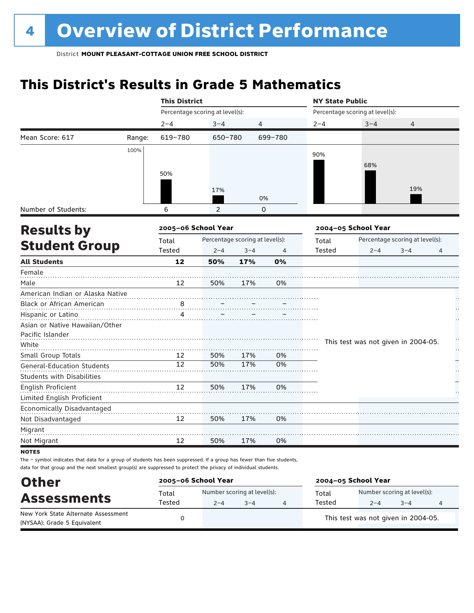### **This District's Results in Grade 5 Mathematics**

|                                   |        | <b>This District</b>            |                                 |         |          | <b>NY State Public</b> |                                     |                                 |                      |  |  |
|-----------------------------------|--------|---------------------------------|---------------------------------|---------|----------|------------------------|-------------------------------------|---------------------------------|----------------------|--|--|
|                                   |        | Percentage scoring at level(s): |                                 |         |          |                        | Percentage scoring at level(s):     |                                 |                      |  |  |
|                                   |        | $2 - 4$                         | $3 - 4$                         | 4       |          | $2 - 4$                | $3 - 4$                             | $\overline{4}$                  |                      |  |  |
| Mean Score: 617                   | Range: | 619-780                         | 650-780                         |         | 699-780  |                        |                                     |                                 |                      |  |  |
|                                   | 100%   |                                 |                                 |         |          | 90%                    |                                     |                                 |                      |  |  |
|                                   |        |                                 |                                 |         |          |                        | 68%                                 |                                 |                      |  |  |
|                                   |        | 50%                             |                                 |         |          |                        |                                     |                                 |                      |  |  |
|                                   |        |                                 |                                 |         |          |                        |                                     |                                 |                      |  |  |
|                                   |        |                                 | 17%                             |         | 0%       |                        |                                     | 19%                             |                      |  |  |
| Number of Students:               |        | 6                               | $\overline{2}$                  |         | $\Omega$ |                        |                                     |                                 |                      |  |  |
|                                   |        |                                 |                                 |         |          |                        |                                     |                                 |                      |  |  |
| <b>Results by</b>                 |        | 2005-06 School Year             |                                 |         |          |                        | 2004-05 School Year                 |                                 |                      |  |  |
|                                   |        | Total                           | Percentage scoring at level(s): |         |          | Total                  |                                     | Percentage scoring at level(s): |                      |  |  |
| <b>Student Group</b>              |        | Tested                          | $2 - 4$                         | $3 - 4$ | 4        | Tested                 | $2 - 4$                             | $3 - 4$                         | 4                    |  |  |
| <b>All Students</b>               |        | 12                              | 50%                             | 17%     | 0%       |                        |                                     |                                 |                      |  |  |
| Female                            |        |                                 |                                 |         |          |                        |                                     |                                 |                      |  |  |
| Male                              |        | 12                              | 50%                             | 17%     | 0%       |                        |                                     |                                 |                      |  |  |
| American Indian or Alaska Native  |        |                                 |                                 |         |          |                        |                                     |                                 |                      |  |  |
| Black or African American         |        | 8                               |                                 |         |          |                        |                                     |                                 |                      |  |  |
| Hispanic or Latino                |        | 4                               |                                 |         |          |                        |                                     |                                 |                      |  |  |
| Asian or Native Hawaiian/Other    |        |                                 |                                 |         |          |                        |                                     |                                 |                      |  |  |
| Pacific Islander                  |        |                                 |                                 |         |          |                        |                                     |                                 | $\ddot{\phantom{1}}$ |  |  |
| White                             |        |                                 |                                 |         |          |                        | This test was not given in 2004-05. |                                 | ł,                   |  |  |
| Small Group Totals                |        | 12                              | 50%                             | 17%     | 0%       |                        |                                     |                                 |                      |  |  |
| <b>General-Education Students</b> |        | 12                              | 50%                             | 17%     | 0%       |                        |                                     |                                 |                      |  |  |
| <b>Students with Disabilities</b> |        |                                 |                                 |         |          |                        |                                     |                                 |                      |  |  |
| English Proficient                |        | 12                              | 50%                             | 17%     | 0%       |                        |                                     |                                 |                      |  |  |
| Limited English Proficient        |        |                                 |                                 |         |          |                        |                                     |                                 |                      |  |  |
| Economically Disadvantaged        |        |                                 |                                 |         |          |                        |                                     |                                 |                      |  |  |
| Not Disadvantaged                 |        | 12                              | 50%                             | 17%     | 0%       |                        |                                     |                                 |                      |  |  |
| Migrant                           |        |                                 |                                 |         |          |                        |                                     |                                 |                      |  |  |
| Not Migrant                       |        | 12                              | 50%                             | 17%     | 0%       |                        |                                     |                                 |                      |  |  |
| <b>NOTES</b>                      |        |                                 |                                 |         |          |                        |                                     |                                 |                      |  |  |

| <b>Other</b>                                                       | 2005-06 School Year |         |                                        | 2004-05 School Year |                                        |         |  |  |  |
|--------------------------------------------------------------------|---------------------|---------|----------------------------------------|---------------------|----------------------------------------|---------|--|--|--|
| <b>Assessments</b>                                                 | Total<br>Tested     | $2 - 4$ | Number scoring at level(s):<br>$3 - 4$ | Total<br>Tested     | Number scoring at level(s):<br>$2 - 4$ | $3 - 4$ |  |  |  |
| New York State Alternate Assessment<br>(NYSAA): Grade 5 Equivalent |                     |         |                                        |                     | This test was not given in 2004-05.    |         |  |  |  |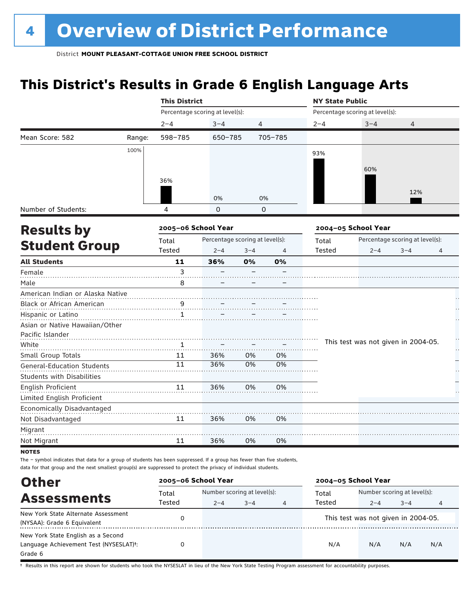### **This District's Results in Grade 6 English Language Arts**

|                                           |        | <b>This District</b> |                                 |             |         | <b>NY State Public</b> |                                     |                                 |    |
|-------------------------------------------|--------|----------------------|---------------------------------|-------------|---------|------------------------|-------------------------------------|---------------------------------|----|
|                                           |        |                      | Percentage scoring at level(s): |             |         |                        | Percentage scoring at level(s):     |                                 |    |
|                                           |        | $2 - 4$              | $3 - 4$                         | 4           |         | $2 - 4$                | $3 - 4$                             | $\overline{4}$                  |    |
| Mean Score: 582                           | Range: | 598-785              | 650-785                         |             | 705-785 |                        |                                     |                                 |    |
|                                           | 100%   |                      |                                 |             |         | 93%                    |                                     |                                 |    |
|                                           |        |                      |                                 |             |         |                        |                                     |                                 |    |
|                                           |        |                      |                                 |             |         |                        | 60%                                 |                                 |    |
|                                           |        | 36%                  |                                 |             |         |                        |                                     |                                 |    |
|                                           |        |                      | 0%                              | 0%          |         |                        |                                     | 12%                             |    |
| Number of Students:                       |        | 4                    | $\mathbf 0$                     | $\mathbf 0$ |         |                        |                                     |                                 |    |
|                                           |        | 2005-06 School Year  |                                 |             |         |                        | 2004-05 School Year                 |                                 |    |
| <b>Results by</b><br><b>Student Group</b> |        | Total                | Percentage scoring at level(s): |             |         | Total                  |                                     | Percentage scoring at level(s): |    |
|                                           |        | Tested               | $2 - 4$                         | $3 - 4$     | 4       | Tested                 | $2 - 4$                             | $3 - 4$                         | 4  |
| <b>All Students</b>                       |        | 11                   | 36%                             | 0%          | 0%      |                        |                                     |                                 |    |
| Female                                    |        | 3                    |                                 |             |         |                        |                                     |                                 |    |
| Male                                      |        | 8                    |                                 |             |         |                        |                                     |                                 |    |
| American Indian or Alaska Native          |        |                      |                                 |             |         |                        |                                     |                                 |    |
| Black or African American                 |        | $\frac{9}{1}$        |                                 |             |         |                        |                                     |                                 |    |
| Hispanic or Latino                        |        | 1                    |                                 |             |         |                        |                                     |                                 |    |
| Asian or Native Hawaiian/Other            |        |                      |                                 |             |         |                        |                                     |                                 |    |
| Pacific Islander                          |        |                      |                                 |             |         |                        |                                     |                                 | H  |
| White                                     |        | $\mathbf{1}$         |                                 |             |         |                        | This test was not given in 2004-05. |                                 | k, |
| Small Group Totals                        |        | 11                   | 36%                             | 0%          | 0%      |                        |                                     |                                 |    |
| <b>General-Education Students</b>         |        | 11                   | 36%                             | 0%          | 0%      |                        |                                     |                                 |    |
| <b>Students with Disabilities</b>         |        |                      |                                 |             |         |                        |                                     |                                 |    |
| English Proficient                        |        | 11                   | 36%                             | 0%          | 0%      |                        |                                     |                                 |    |
| Limited English Proficient                |        |                      |                                 |             |         |                        |                                     |                                 |    |
| Economically Disadvantaged                |        |                      |                                 |             |         |                        |                                     |                                 |    |
| Not Disadvantaged                         |        | 11                   | 36%                             | 0%          | 0%      |                        |                                     |                                 |    |
| Migrant                                   |        |                      |                                 |             |         |                        |                                     |                                 |    |
| Not Migrant                               |        | 11                   | 36%                             | 0%          | 0%      |                        |                                     |                                 |    |
| <b>NOTES</b>                              |        |                      |                                 |             |         |                        |                                     |                                 |    |

The – symbol indicates that data for a group of students has been suppressed. If a group has fewer than five students,

data for that group and the next smallest group(s) are suppressed to protect the privacy of individual students.

| <b>Other</b>                           | 2005-06 School Year |                             |         |   | 2004-05 School Year |                                     |         |     |  |
|----------------------------------------|---------------------|-----------------------------|---------|---|---------------------|-------------------------------------|---------|-----|--|
| <b>Assessments</b>                     | Total               | Number scoring at level(s): |         |   | Total               | Number scoring at level(s):         |         |     |  |
|                                        | Tested              | $2 - 4$                     | $3 - 4$ | 4 | Tested              | $2 - 4$                             | $3 - 4$ | 4   |  |
| New York State Alternate Assessment    |                     |                             |         |   |                     | This test was not given in 2004-05. |         |     |  |
| (NYSAA): Grade 6 Equivalent            |                     |                             |         |   |                     |                                     |         |     |  |
| New York State English as a Second     |                     |                             |         |   |                     |                                     |         |     |  |
| Language Achievement Test (NYSESLAT)t: |                     |                             |         |   | N/A                 | N/A                                 | N/A     | N/A |  |
| Grade 6                                |                     |                             |         |   |                     |                                     |         |     |  |

† Results in this report are shown for students who took the NYSESLAT in lieu of the New York State Testing Program assessment for accountability purposes.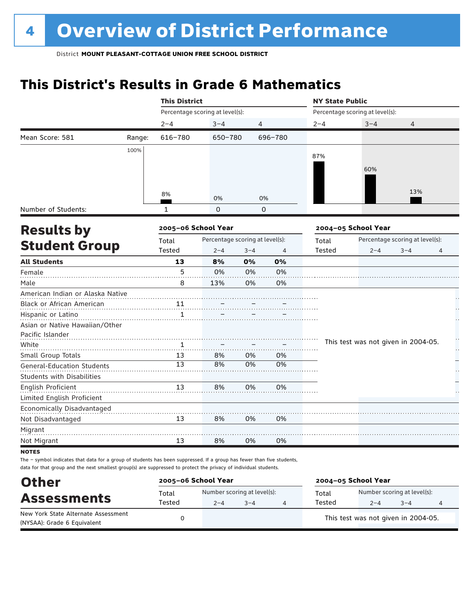### **This District's Results in Grade 6 Mathematics**

|                                   |        | <b>This District</b> |                                 |          |         | <b>NY State Public</b> |                                     |         |         |  |
|-----------------------------------|--------|----------------------|---------------------------------|----------|---------|------------------------|-------------------------------------|---------|---------|--|
|                                   |        |                      | Percentage scoring at level(s): |          |         |                        | Percentage scoring at level(s):     |         |         |  |
|                                   |        | $2 - 4$              | $3 - 4$                         | 4        |         | $2 - 4$                | $3 - 4$                             | 4       |         |  |
| Mean Score: 581                   | Range: | 616-780              | 650-780                         |          | 696-780 |                        |                                     |         |         |  |
|                                   | 100%   |                      |                                 |          |         |                        |                                     |         |         |  |
|                                   |        |                      |                                 |          |         | 87%                    |                                     |         |         |  |
|                                   |        |                      |                                 |          |         |                        | 60%                                 |         |         |  |
|                                   |        |                      |                                 |          |         |                        |                                     |         |         |  |
|                                   |        | 8%                   | 0%                              | 0%       |         |                        |                                     | 13%     |         |  |
| Number of Students:               |        | $\mathbf{1}$         | $\Omega$                        | $\Omega$ |         |                        |                                     |         |         |  |
| <b>Results by</b>                 |        | 2005-06 School Year  |                                 |          |         |                        | 2004-05 School Year                 |         |         |  |
|                                   |        | Total                | Percentage scoring at level(s): |          |         | Total                  | Percentage scoring at level(s):     |         |         |  |
| <b>Student Group</b>              |        | Tested               | $2 - 4$                         | $3 - 4$  | 4       | Tested                 | $2 - 4$                             | $3 - 4$ | 4       |  |
| <b>All Students</b>               |        | 13                   | 8%                              | 0%       | 0%      |                        |                                     |         |         |  |
| Female                            |        | 5                    | 0%                              | 0%       | 0%      |                        |                                     |         |         |  |
| Male                              |        | 8                    | 13%                             | 0%       | 0%      |                        |                                     |         |         |  |
| American Indian or Alaska Native  |        |                      |                                 |          |         |                        |                                     |         |         |  |
| Black or African American         |        | 11                   |                                 |          |         |                        |                                     |         |         |  |
| Hispanic or Latino                |        | 1                    |                                 |          |         |                        |                                     |         |         |  |
| Asian or Native Hawaiian/Other    |        |                      |                                 |          |         |                        |                                     |         |         |  |
| Pacific Islander                  |        |                      |                                 |          |         |                        |                                     |         |         |  |
| White                             |        | 1                    |                                 |          |         |                        | This test was not given in 2004-05. |         | H<br>k, |  |
| Small Group Totals                |        | 13                   | 8%                              | 0%       | 0%      |                        |                                     |         |         |  |
| <b>General-Education Students</b> |        | 13                   | 8%                              | 0%       | 0%      |                        |                                     |         |         |  |
| <b>Students with Disabilities</b> |        |                      |                                 |          |         |                        |                                     |         |         |  |
| English Proficient                |        | 13                   | 8%                              | 0%       | 0%      |                        |                                     |         |         |  |
| Limited English Proficient        |        |                      |                                 |          |         |                        |                                     |         |         |  |
| Economically Disadvantaged        |        |                      |                                 |          |         |                        |                                     |         |         |  |
| Not Disadvantaged                 |        | 13                   | 8%                              | 0%       | 0%      |                        |                                     |         |         |  |
| Migrant                           |        |                      |                                 |          |         |                        |                                     |         |         |  |
| Not Migrant                       |        | 13                   | 8%                              | 0%       | 0%      |                        |                                     |         |         |  |
| <b>NOTES</b>                      |        |                      |                                 |          |         |                        |                                     |         |         |  |

| <b>Other</b>                                                       | 2005-06 School Year |                                                   |  | 2004-05 School Year |                 |                                        |      |   |
|--------------------------------------------------------------------|---------------------|---------------------------------------------------|--|---------------------|-----------------|----------------------------------------|------|---|
| <b>Assessments</b>                                                 | Total<br>Tested     | Number scoring at level(s):<br>$2 - 4$<br>$3 - 4$ |  |                     | Total<br>Tested | Number scoring at level(s):<br>$2 - 4$ | $-4$ | 4 |
| New York State Alternate Assessment<br>(NYSAA): Grade 6 Equivalent |                     |                                                   |  |                     |                 | This test was not given in 2004-05.    |      |   |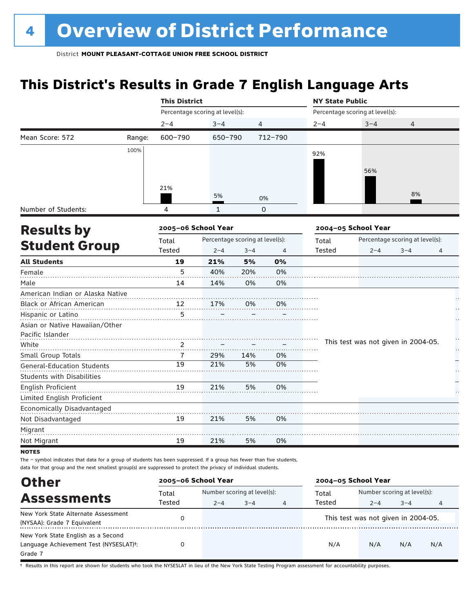### **This District's Results in Grade 7 English Language Arts**

|                                           |        | <b>This District</b>            |                                 |         |          | <b>NY State Public</b> |                                     |                                 |    |
|-------------------------------------------|--------|---------------------------------|---------------------------------|---------|----------|------------------------|-------------------------------------|---------------------------------|----|
|                                           |        | Percentage scoring at level(s): |                                 |         |          |                        | Percentage scoring at level(s):     |                                 |    |
|                                           |        | $2 - 4$                         | $3 - 4$                         | 4       |          | $2 - 4$                | $3 - 4$                             | 4                               |    |
| Mean Score: 572                           | Range: | 600-790                         | 650-790                         |         | 712-790  |                        |                                     |                                 |    |
|                                           | 100%   |                                 |                                 |         |          | 92%                    |                                     |                                 |    |
|                                           |        |                                 |                                 |         |          |                        |                                     |                                 |    |
|                                           |        |                                 |                                 |         |          |                        | 56%                                 |                                 |    |
|                                           |        | 21%                             |                                 |         |          |                        |                                     |                                 |    |
|                                           |        |                                 | 5%                              | 0%      |          |                        |                                     | 8%                              |    |
| Number of Students:                       |        | 4                               | $\mathbf{1}$                    |         | $\Omega$ |                        |                                     |                                 |    |
|                                           |        | 2005-06 School Year             |                                 |         |          |                        | 2004-05 School Year                 |                                 |    |
| <b>Results by</b><br><b>Student Group</b> |        | Total                           | Percentage scoring at level(s): |         |          | Total                  |                                     | Percentage scoring at level(s): |    |
|                                           |        | Tested                          | $2 - 4$                         | $3 - 4$ | 4        | Tested                 | $2 - 4$                             | $3 - 4$                         | 4  |
| <b>All Students</b>                       |        | 19                              | 21%                             | 5%      | 0%       |                        |                                     |                                 |    |
| Female                                    |        | 5                               | 40%                             | 20%     | 0%       |                        |                                     |                                 |    |
| Male                                      |        | 14                              | 14%                             | 0%      | 0%       |                        |                                     |                                 |    |
| American Indian or Alaska Native          |        |                                 |                                 |         |          |                        |                                     |                                 |    |
| Black or African American                 |        | 12                              | 17%                             | 0%      | 0%       |                        |                                     |                                 |    |
| Hispanic or Latino                        |        | 5                               |                                 |         |          |                        |                                     |                                 |    |
| Asian or Native Hawaiian/Other            |        |                                 |                                 |         |          |                        |                                     |                                 |    |
| Pacific Islander                          |        |                                 |                                 |         |          |                        |                                     |                                 | H  |
| White                                     |        | 2                               |                                 |         |          |                        | This test was not given in 2004-05. |                                 | Н, |
| Small Group Totals                        |        | 7                               | 29%                             | 14%     | 0%       |                        |                                     |                                 |    |
| <b>General-Education Students</b>         |        | 19                              | 21%                             | 5%      | 0%       |                        |                                     |                                 |    |
| <b>Students with Disabilities</b>         |        |                                 |                                 |         |          |                        |                                     |                                 |    |
| English Proficient                        |        | 19                              | 21%                             | 5%      | 0%       |                        |                                     |                                 |    |
| Limited English Proficient                |        |                                 |                                 |         |          |                        |                                     |                                 |    |
| Economically Disadvantaged                |        |                                 |                                 |         |          |                        |                                     |                                 |    |
| Not Disadvantaged                         |        | 19                              | 21%                             | 5%      | 0%       |                        |                                     |                                 |    |
| Migrant                                   |        |                                 |                                 |         |          |                        |                                     |                                 |    |
| Not Migrant                               |        | 19                              | 21%                             | 5%      | 0%       |                        |                                     |                                 |    |
| <b>NOTES</b>                              |        |                                 |                                 |         |          |                        |                                     |                                 |    |

The – symbol indicates that data for a group of students has been suppressed. If a group has fewer than five students,

Assessments<br>
Total Number scoring at level and the Number scoring at level and Total Number scoring at level(s):<br>
Tested 2-4 3-4 3-4<br>
Tested 2-4 3-4 2–4 3–4 4 2–4 3–4 4 **Other** data for that group and the next smallest group(s) are suppressed to protect the privacy of individual students. **2005–06 School Year 2004–05 School Year** Total Tested Total Tested New York State Alternate Assessment (NYSAA): Grade 7 Equivalent <sup>0</sup> This test was not given in 2004-05. New York State English as a Second Language Achievement Test (NYSESLAT)†: Grade 7 0 N/A N/A N/A N/A

† Results in this report are shown for students who took the NYSESLAT in lieu of the New York State Testing Program assessment for accountability purposes.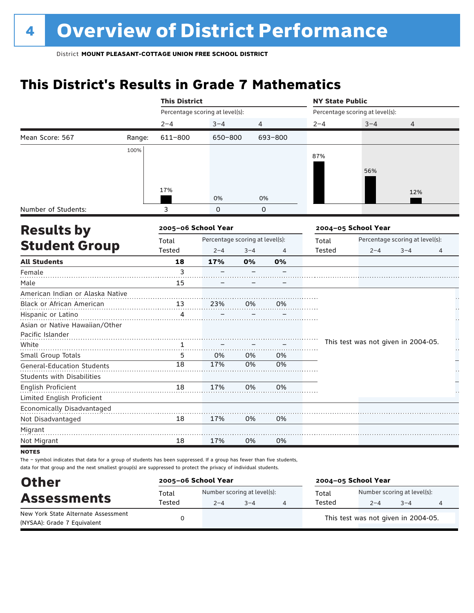## **This District's Results in Grade 7 Mathematics**

|                                   |        | <b>This District</b><br><b>NY State Public</b> |                                 |          |         |         |                                     |                                 |    |
|-----------------------------------|--------|------------------------------------------------|---------------------------------|----------|---------|---------|-------------------------------------|---------------------------------|----|
|                                   |        |                                                | Percentage scoring at level(s): |          |         |         | Percentage scoring at level(s):     |                                 |    |
|                                   |        | $2 - 4$                                        | $3 - 4$                         | 4        |         | $2 - 4$ | $3 - 4$                             | 4                               |    |
| Mean Score: 567                   | Range: | 611-800                                        | 650-800                         |          | 693-800 |         |                                     |                                 |    |
|                                   | 100%   |                                                |                                 |          |         |         |                                     |                                 |    |
|                                   |        |                                                |                                 |          |         | 87%     |                                     |                                 |    |
|                                   |        |                                                |                                 |          |         |         | 56%                                 |                                 |    |
|                                   |        |                                                |                                 |          |         |         |                                     |                                 |    |
|                                   |        | 17%                                            | 0%                              | 0%       |         |         |                                     | 12%                             |    |
| Number of Students:               |        | 3                                              | $\Omega$                        | $\Omega$ |         |         |                                     |                                 |    |
| <b>Results by</b>                 |        | 2005-06 School Year                            |                                 |          |         |         | 2004-05 School Year                 |                                 |    |
|                                   |        | Total                                          | Percentage scoring at level(s): |          |         | Total   |                                     | Percentage scoring at level(s): |    |
| <b>Student Group</b>              |        | Tested                                         | $2 - 4$                         | $3 - 4$  | 4       | Tested  | $2 - 4$                             | $3 - 4$                         | 4  |
| <b>All Students</b>               |        | 18                                             | 17%                             | 0%       | 0%      |         |                                     |                                 |    |
| Female                            |        | 3                                              |                                 |          |         |         |                                     |                                 |    |
| Male                              |        | 15                                             |                                 |          |         |         |                                     |                                 |    |
| American Indian or Alaska Native  |        |                                                |                                 |          |         |         |                                     |                                 |    |
| Black or African American         |        | 13                                             | 23%                             | 0%       | 0%      |         |                                     |                                 |    |
| Hispanic or Latino                |        | 4                                              |                                 |          |         |         |                                     |                                 |    |
| Asian or Native Hawaiian/Other    |        |                                                |                                 |          |         |         |                                     |                                 |    |
| Pacific Islander                  |        |                                                |                                 |          |         |         |                                     |                                 | H  |
| White                             |        | 1                                              |                                 |          |         |         | This test was not given in 2004-05. |                                 | Н, |
| Small Group Totals                |        | 5                                              | 0%                              | 0%       | 0%      |         |                                     |                                 |    |
| <b>General-Education Students</b> |        | 18                                             | 17%                             | 0%       | 0%      |         |                                     |                                 |    |
| <b>Students with Disabilities</b> |        |                                                |                                 |          |         |         |                                     |                                 |    |
| <b>English Proficient</b>         |        | 18                                             | 17%                             | 0%       | 0%      |         |                                     |                                 |    |
| Limited English Proficient        |        |                                                |                                 |          |         |         |                                     |                                 |    |
| Economically Disadvantaged        |        |                                                |                                 |          |         |         |                                     |                                 |    |
| Not Disadvantaged                 |        | 18                                             | 17%                             | 0%       | 0%      |         |                                     |                                 |    |
| Migrant                           |        |                                                |                                 |          |         |         |                                     |                                 |    |
| Not Migrant                       |        | 18                                             | 17%                             | 0%       | 0%      |         |                                     |                                 |    |
| <b>NOTES</b>                      |        |                                                |                                 |          |         |         |                                     |                                 |    |

| <b>Other</b>                                              | 2005-06 School Year |         |                             | 2004-05 School Year |        |                                     |         |  |
|-----------------------------------------------------------|---------------------|---------|-----------------------------|---------------------|--------|-------------------------------------|---------|--|
| <b>Assessments</b><br>New York State Alternate Assessment | Total               | Total   | Number scoring at level(s): |                     |        |                                     |         |  |
|                                                           | Tested              | $2 - 4$ | $3 - 4$                     | Δ                   | Tested | $2 - 4$                             | $3 - 4$ |  |
| (NYSAA): Grade 7 Equivalent                               |                     |         |                             |                     |        | This test was not given in 2004-05. |         |  |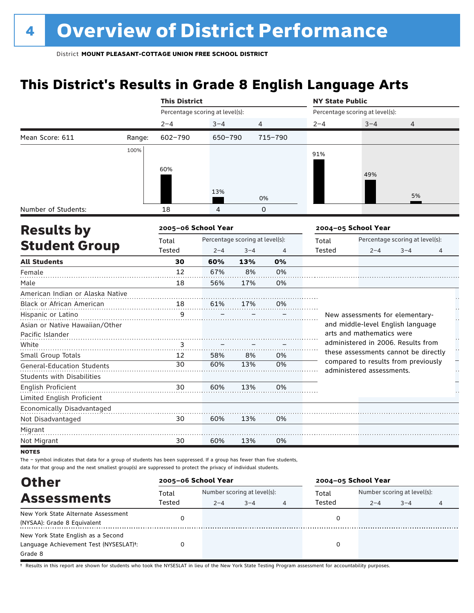### **This District's Results in Grade 8 English Language Arts**

|                                      |        | <b>This District</b>            |                                 |         |          | <b>NY State Public</b> |                                                                             |         |                          |  |
|--------------------------------------|--------|---------------------------------|---------------------------------|---------|----------|------------------------|-----------------------------------------------------------------------------|---------|--------------------------|--|
|                                      |        | Percentage scoring at level(s): |                                 |         |          |                        | Percentage scoring at level(s):                                             |         |                          |  |
|                                      |        | $2 - 4$                         | $3 - 4$                         | 4       |          | $2 - 4$                | $3 - 4$                                                                     | 4       |                          |  |
| Mean Score: 611<br><b>Results by</b> | Range: | 602-790                         | 650-790                         |         | 715-790  |                        |                                                                             |         |                          |  |
|                                      | 100%   |                                 |                                 |         |          | 91%                    |                                                                             |         |                          |  |
|                                      |        |                                 |                                 |         |          |                        |                                                                             |         |                          |  |
|                                      |        | 60%                             |                                 |         |          |                        | 49%                                                                         |         |                          |  |
|                                      |        |                                 |                                 |         |          |                        |                                                                             |         |                          |  |
|                                      |        |                                 | 13%                             |         | 0%       |                        |                                                                             | 5%      |                          |  |
| Number of Students:                  |        | 18                              | 4                               |         | $\Omega$ |                        |                                                                             |         |                          |  |
|                                      |        | 2005-06 School Year             |                                 |         |          |                        | 2004-05 School Year                                                         |         |                          |  |
| <b>Student Group</b>                 |        | Total                           | Percentage scoring at level(s): |         |          | Total                  | Percentage scoring at level(s):                                             |         |                          |  |
|                                      |        | Tested                          | $2 - 4$                         | $3 - 4$ | 4        | Tested                 | $2 - 4$                                                                     | $3 - 4$ | 4                        |  |
| <b>All Students</b>                  |        | 30                              | 60%                             | 13%     | 0%       |                        |                                                                             |         |                          |  |
| Female                               |        | 12                              | 67%                             | 8%      | 0%       |                        |                                                                             |         |                          |  |
| Male                                 |        | 18                              | 56%                             | 17%     | 0%       |                        |                                                                             |         |                          |  |
| American Indian or Alaska Native     |        |                                 |                                 |         |          |                        |                                                                             |         |                          |  |
| Black or African American            |        | 18                              | 61%                             | 17%     | 0%       |                        |                                                                             |         |                          |  |
| Hispanic or Latino                   |        | 9                               |                                 |         |          |                        | New assessments for elementary-                                             |         | $\ddot{\phantom{0}}$     |  |
| Asian or Native Hawaiian/Other       |        |                                 |                                 |         |          |                        | and middle-level English language                                           |         |                          |  |
| Pacific Islander                     |        |                                 |                                 |         |          |                        | arts and mathematics were                                                   |         |                          |  |
| White                                |        | 3                               |                                 |         |          |                        | administered in 2006. Results from                                          |         | $\mathbf{r}$             |  |
| Small Group Totals                   |        | 12                              | 58%                             | 8%      | 0%       |                        | these assessments cannot be directly<br>compared to results from previously |         | $\overline{\phantom{a}}$ |  |
| <b>General-Education Students</b>    |        | 30                              | 60%                             | 13%     | 0%       |                        | administered assessments.                                                   |         | Н,                       |  |
| <b>Students with Disabilities</b>    |        |                                 |                                 |         |          |                        |                                                                             |         |                          |  |
| English Proficient                   |        | 30                              | 60%                             | 13%     | 0%       |                        |                                                                             |         |                          |  |
| Limited English Proficient           |        |                                 |                                 |         |          |                        |                                                                             |         |                          |  |
| Economically Disadvantaged           |        |                                 |                                 |         |          |                        |                                                                             |         |                          |  |
| Not Disadvantaged                    |        | 30                              | 60%                             | 13%     | 0%       |                        |                                                                             |         |                          |  |
| Migrant                              |        |                                 |                                 |         |          |                        |                                                                             |         |                          |  |
| Not Migrant                          |        | 30                              | 60%                             | 13%     | 0%       |                        |                                                                             |         |                          |  |
| <b>NOTES</b>                         |        |                                 |                                 |         |          |                        |                                                                             |         |                          |  |

The – symbol indicates that data for a group of students has been suppressed. If a group has fewer than five students, data for that group and the next smallest group(s) are suppressed to protect the privacy of individual students.

| <b>Other</b>                                                                            |                 | 2005-06 School Year         |         |   | 2004-05 School Year |                             |         |   |
|-----------------------------------------------------------------------------------------|-----------------|-----------------------------|---------|---|---------------------|-----------------------------|---------|---|
| <b>Assessments</b>                                                                      | Total<br>Tested | Number scoring at level(s): |         |   | Total               | Number scoring at level(s): |         |   |
| New York State Alternate Assessment<br>(NYSAA): Grade 8 Equivalent                      |                 | $2 - 4$                     | $3 - 4$ | 4 | Tested<br>0         | $2 - 4$                     | $3 - 4$ | 4 |
| New York State English as a Second<br>Language Achievement Test (NYSESLAT)t:<br>Grade 8 |                 |                             |         |   |                     |                             |         |   |

† Results in this report are shown for students who took the NYSESLAT in lieu of the New York State Testing Program assessment for accountability purposes.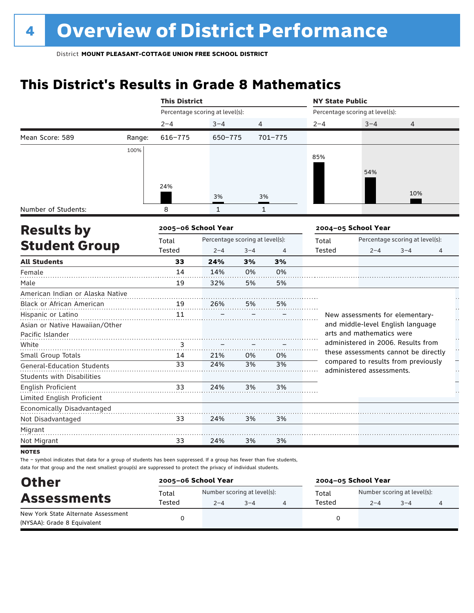## **This District's Results in Grade 8 Mathematics**

|                                   |        | <b>This District</b> |                                 |              |         | <b>NY State Public</b>          |                                                                             |                                 |                          |
|-----------------------------------|--------|----------------------|---------------------------------|--------------|---------|---------------------------------|-----------------------------------------------------------------------------|---------------------------------|--------------------------|
|                                   |        |                      | Percentage scoring at level(s): |              |         | Percentage scoring at level(s): |                                                                             |                                 |                          |
|                                   |        | $2 - 4$              | $3 - 4$                         | 4            |         | $2 - 4$                         | $3 - 4$                                                                     | 4                               |                          |
| Mean Score: 589                   | Range: | 616-775              | 650-775                         |              | 701-775 |                                 |                                                                             |                                 |                          |
|                                   | 100%   |                      |                                 |              |         |                                 |                                                                             |                                 |                          |
|                                   |        |                      |                                 |              |         | 85%                             |                                                                             |                                 |                          |
|                                   |        |                      |                                 |              |         |                                 | 54%                                                                         |                                 |                          |
|                                   |        |                      |                                 |              |         |                                 |                                                                             |                                 |                          |
|                                   |        | 24%                  |                                 |              |         |                                 |                                                                             | 10%                             |                          |
|                                   |        |                      | 3%                              | 3%           |         |                                 |                                                                             |                                 |                          |
| Number of Students:               |        | 8                    | $\mathbf{1}$                    | $\mathbf{1}$ |         |                                 |                                                                             |                                 |                          |
| <b>Results by</b>                 |        | 2005-06 School Year  |                                 |              |         | 2004-05 School Year             |                                                                             |                                 |                          |
|                                   |        | Total                | Percentage scoring at level(s): |              |         | Total                           |                                                                             | Percentage scoring at level(s): |                          |
| <b>Student Group</b>              |        | Tested               | $2 - 4$                         | $3 - 4$      | 4       | Tested                          | $2 - 4$                                                                     | $3 - 4$                         | 4                        |
| <b>All Students</b>               |        | 33                   | 24%                             | 3%           | 3%      |                                 |                                                                             |                                 |                          |
| Female                            |        | 14                   | 14%                             | 0%           | 0%      |                                 |                                                                             |                                 |                          |
| Male                              |        | 19                   | 32%                             | 5%           | 5%      |                                 |                                                                             |                                 |                          |
| American Indian or Alaska Native  |        |                      |                                 |              |         |                                 |                                                                             |                                 |                          |
| <b>Black or African American</b>  |        | 19                   | 26%                             | 5%           | 5%      |                                 |                                                                             |                                 |                          |
| Hispanic or Latino                |        | 11                   |                                 |              |         |                                 | New assessments for elementary-                                             |                                 | $\overline{\phantom{a}}$ |
| Asian or Native Hawaiian/Other    |        |                      |                                 |              |         |                                 | and middle-level English language                                           |                                 |                          |
| Pacific Islander                  |        |                      |                                 |              |         |                                 | arts and mathematics were                                                   |                                 | $\ddot{\phantom{1}}$     |
| White                             |        | 3                    |                                 |              |         |                                 | administered in 2006. Results from                                          |                                 | h                        |
| Small Group Totals                |        | 14                   | 21%                             | 0%           | 0%      |                                 | these assessments cannot be directly<br>compared to results from previously |                                 | -                        |
| <b>General-Education Students</b> |        | 33                   | 24%                             | 3%           | 3%      |                                 | administered assessments.                                                   |                                 | Н,                       |
| <b>Students with Disabilities</b> |        |                      |                                 |              |         |                                 |                                                                             |                                 |                          |
| English Proficient                |        | 33                   | 24%                             | 3%           | 3%      |                                 |                                                                             |                                 |                          |
| Limited English Proficient        |        |                      |                                 |              |         |                                 |                                                                             |                                 |                          |
| Economically Disadvantaged        |        |                      |                                 |              |         |                                 |                                                                             |                                 |                          |
| Not Disadvantaged                 |        | 33                   | 24%                             | 3%           | 3%      |                                 |                                                                             |                                 |                          |
| Migrant                           |        |                      |                                 |              |         |                                 |                                                                             |                                 |                          |
| Not Migrant                       |        | 33                   | 24%                             | 3%           | 3%      |                                 |                                                                             |                                 |                          |
| <b>NOTES</b>                      |        |                      |                                 |              |         |                                 |                                                                             |                                 |                          |

| <b>Other</b>                        | 2005-06 School Year |         |                             | 2004-05 School Year |                             |         |  |  |
|-------------------------------------|---------------------|---------|-----------------------------|---------------------|-----------------------------|---------|--|--|
| <b>Assessments</b>                  | Total               |         | Number scoring at level(s): | Total               | Number scoring at level(s): |         |  |  |
|                                     | Tested              | $2 - 4$ | $3 - 4$                     | Tested              | $2 - 4$                     | $3 - 4$ |  |  |
| New York State Alternate Assessment |                     |         |                             | 0                   |                             |         |  |  |
| (NYSAA): Grade 8 Equivalent         |                     |         |                             |                     |                             |         |  |  |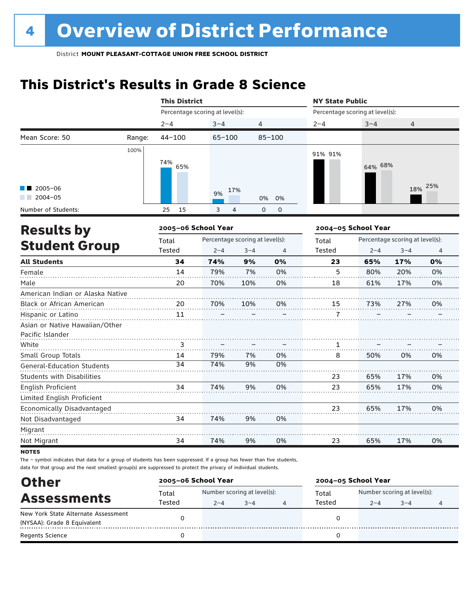### **This District's Results in Grade 8 Science**

|                                                    |        | <b>This District</b> |                                 |                                 |                         | <b>NY State Public</b>          |         |                                 |                |
|----------------------------------------------------|--------|----------------------|---------------------------------|---------------------------------|-------------------------|---------------------------------|---------|---------------------------------|----------------|
|                                                    |        |                      | Percentage scoring at level(s): |                                 |                         | Percentage scoring at level(s): |         |                                 |                |
|                                                    |        | $2 - 4$              | $3 - 4$                         | 4                               |                         | $2 - 4$                         | $3 - 4$ | 4                               |                |
| Mean Score: 50                                     | Range: | $44 - 100$           | $65 - 100$                      |                                 | $85 - 100$              |                                 |         |                                 |                |
|                                                    | 100%   | 74%<br>65%           |                                 |                                 |                         | 91% 91%                         | 64% 68% |                                 |                |
| 2005-06<br>$2004 - 05$                             |        |                      | 9%                              | 17%                             |                         |                                 |         | 18%                             | 25%            |
| Number of Students:                                |        | 15<br>25             | 3                               | $\overline{4}$<br>0             | 0%<br>0%<br>$\mathbf 0$ |                                 |         |                                 |                |
| <b>Results by</b>                                  |        |                      | 2005-06 School Year             |                                 |                         | 2004-05 School Year             |         |                                 |                |
|                                                    |        | Total                |                                 | Percentage scoring at level(s): |                         | Total                           |         | Percentage scoring at level(s): |                |
| <b>Student Group</b>                               |        | <b>Tested</b>        | $2 - 4$                         | $3 - 4$                         | $\overline{4}$          | <b>Tested</b>                   | $2 - 4$ | $3 - 4$                         | $\overline{4}$ |
| <b>All Students</b>                                |        | 34                   | 74%                             | 9%                              | 0%                      | 23                              | 65%     | 17%                             | 0%             |
| Female                                             |        | 14                   | 79%                             | 7%                              | 0%                      | 5                               | 80%     | 20%                             | 0%             |
| Male                                               |        | 20                   | 70%                             | 10%                             | 0%                      | 18                              | 61%     | 17%                             | 0%             |
| American Indian or Alaska Native                   |        |                      |                                 |                                 |                         |                                 |         |                                 |                |
| Black or African American                          |        | 20                   | 70%                             | 10%                             | 0%                      | 15                              | 73%     | 27%                             | 0%             |
| Hispanic or Latino                                 |        | 11                   |                                 |                                 |                         | 7                               |         |                                 |                |
| Asian or Native Hawaiian/Other<br>Pacific Islander |        |                      |                                 |                                 |                         |                                 |         |                                 |                |
| White                                              |        | 3                    |                                 |                                 |                         | 1                               |         |                                 |                |
| Small Group Totals                                 |        | 14                   | 79%                             | 7%                              | 0%                      | 8                               | 50%     | 0%                              | 0%             |
| <b>General-Education Students</b>                  |        | 34                   | 74%                             | 9%                              | 0%                      |                                 |         |                                 |                |
| <b>Students with Disabilities</b>                  |        |                      |                                 |                                 |                         | 23                              | 65%     | 17%                             | 0%             |
| English Proficient                                 |        | 34                   | 74%                             | 9%                              | 0%                      | 23                              | 65%     | 17%                             | 0%             |
| Limited English Proficient                         |        |                      |                                 |                                 |                         |                                 |         |                                 |                |
| Economically Disadvantaged                         |        |                      |                                 |                                 |                         | 23                              | 65%     | 17%                             | 0%             |
| Not Disadvantaged                                  |        | 34                   | 74%                             | 9%                              | 0%                      |                                 |         |                                 |                |
| Migrant                                            |        |                      |                                 |                                 |                         |                                 |         |                                 |                |
| Not Migrant                                        |        | 34                   | 74%                             | 9%                              | 0%                      | 23                              | 65%     | 17%                             | 0%             |
|                                                    |        |                      |                                 |                                 |                         |                                 |         |                                 |                |

notes

| <b>Other</b>                        | 2005-06 School Year |                             |         |   | 2004-05 School Year |                             |         |  |
|-------------------------------------|---------------------|-----------------------------|---------|---|---------------------|-----------------------------|---------|--|
| <b>Assessments</b>                  | Total               | Number scoring at level(s): |         |   | Total               | Number scoring at level(s): |         |  |
|                                     | Tested              | $2 - 4$                     | $3 - 4$ | 4 | Tested              | $2 - 4$                     | $3 - 4$ |  |
| New York State Alternate Assessment |                     |                             |         |   |                     |                             |         |  |
| (NYSAA): Grade 8 Equivalent         |                     |                             |         |   |                     |                             |         |  |
| <b>Regents Science</b>              |                     |                             |         |   |                     |                             |         |  |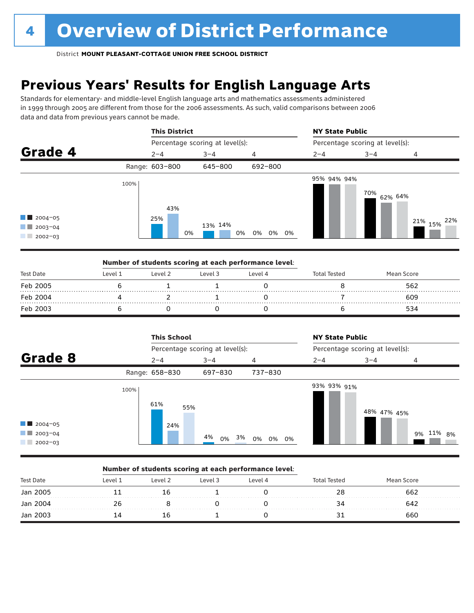### **Previous Years' Results for English Language Arts**

Standards for elementary- and middle-level English language arts and mathematics assessments administered in 1999 through 2005 are different from those for the 2006 assessments. As such, valid comparisons between 2006 data and data from previous years cannot be made.



|           |         |          | Number of students scoring at each performance level: |         |              |            |  |
|-----------|---------|----------|-------------------------------------------------------|---------|--------------|------------|--|
| Test Date | Level 1 | l evel 2 | Level 3                                               | Level 4 | Total Tested | Mean Score |  |
| Feb 2005  |         |          |                                                       |         |              | 562        |  |
| Feb 2004  |         |          |                                                       |         |              | 609        |  |
| Feb 2003  |         |          |                                                       |         |              | 534        |  |

|                                                                  |      | <b>This School</b> |                                 |             | <b>NY State Public</b>          |             |           |
|------------------------------------------------------------------|------|--------------------|---------------------------------|-------------|---------------------------------|-------------|-----------|
|                                                                  |      |                    | Percentage scoring at level(s): |             | Percentage scoring at level(s): |             |           |
| Grade 8                                                          |      | $2 - 4$            | $3 - 4$                         | 4           | $2 - 4$                         | $3 - 4$     | 4         |
|                                                                  |      | Range: 658-830     | 697-830                         | 737-830     |                                 |             |           |
| $\blacksquare$ 2004-05<br>$\blacksquare$ 2003-04<br>$12002 - 03$ | 100% | 61%<br>55%<br>24%  | 4%<br>3%<br>0%                  | 0%<br>0% 0% | 93% 93% 91%                     | 48% 47% 45% | 9% 11% 8% |

#### Number of students scoring at each performance level:

| <b>Test Date</b> | Level 1 | Level 2 | Level 3 | Level 4 | Total Tested | Mean Score |  |
|------------------|---------|---------|---------|---------|--------------|------------|--|
| Jan 2005         |         |         |         |         | 28           | 662        |  |
| Jan 2004         |         |         |         |         |              | 642        |  |
| Jan 2003         | ⊥⊿      | Τp      |         |         |              | 660        |  |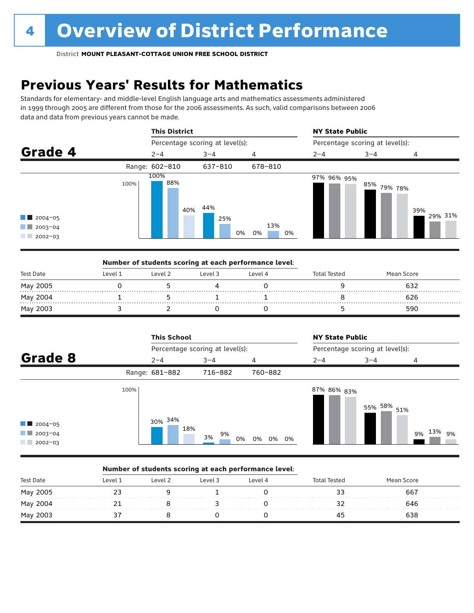### **Previous Years' Results for Mathematics**

Standards for elementary- and middle-level English language arts and mathematics assessments administered in 1999 through 2005 are different from those for the 2006 assessments. As such, valid comparisons between 2006 data and data from previous years cannot be made.



|                  |         | Number of students scoring at each performance level: |         |         |              |            |  |
|------------------|---------|-------------------------------------------------------|---------|---------|--------------|------------|--|
| <b>Test Date</b> | Level 1 | Level 2                                               | Level 3 | Level 4 | Total Tested | Mean Score |  |
| May 2005         |         |                                                       |         |         |              | 632        |  |
| May 2004         |         |                                                       |         |         |              | 626        |  |
| May 2003         |         |                                                       |         |         |              | 590        |  |

|                                                        |      | <b>This School</b> |                                 |             | <b>NY State Public</b>          |             |              |
|--------------------------------------------------------|------|--------------------|---------------------------------|-------------|---------------------------------|-------------|--------------|
|                                                        |      |                    | Percentage scoring at level(s): |             | Percentage scoring at level(s): |             |              |
| Grade 8                                                |      | $2 - 4$            | $3 - 4$                         | 4           | $2 - 4$                         | $3 - 4$     | 4            |
|                                                        |      | Range: 681-882     | 716-882                         | 760-882     |                                 |             |              |
| $\blacksquare$ 2004-05<br>$12003 - 04$<br>$12002 - 03$ | 100% | 30% 34%<br>18%     | 9%<br>3%<br>0%                  | 0%<br>0% 0% | 87% 86% <sub>83%</sub>          | 55% 58% 51% | 9% 13%<br>9% |

#### Number of students scoring at each performance level:

| <b>Test Date</b> | Level 1 | Level 2 | Level 3 | Level 4 | <b>Total Tested</b> | Mean Score |  |
|------------------|---------|---------|---------|---------|---------------------|------------|--|
| May 2005         | ۔ ۔     |         |         |         |                     | 667        |  |
| May 2004         |         |         |         |         |                     | 646        |  |
| May 2003         |         |         |         |         | 43                  | 638        |  |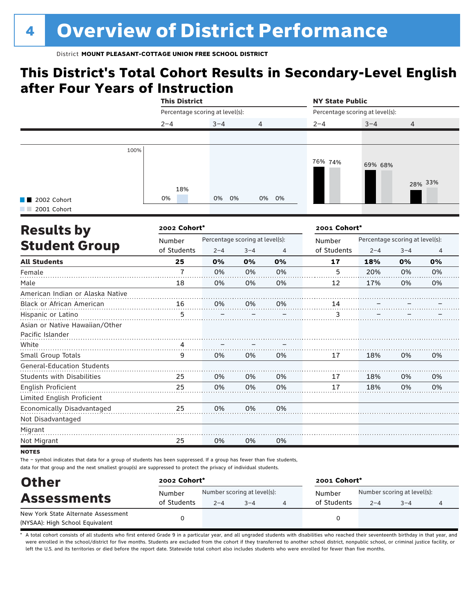### This District NY State Public **This District's Total Cohort Results in Secondary-Level English after Four Years of Instruction**

|                                   | This District                   |                                 |         |    | <b>NY State Public</b>          |                                 |                |         |
|-----------------------------------|---------------------------------|---------------------------------|---------|----|---------------------------------|---------------------------------|----------------|---------|
|                                   | Percentage scoring at level(s): |                                 |         |    | Percentage scoring at level(s): |                                 |                |         |
|                                   | $2 - 4$                         | $3 - 4$                         | 4       |    | $2 - 4$                         | $3 - 4$                         | $\overline{4}$ |         |
|                                   |                                 |                                 |         |    |                                 |                                 |                |         |
| 100%                              |                                 |                                 |         |    |                                 |                                 |                |         |
|                                   |                                 |                                 |         |    | 76% 74%                         | 69% 68%                         |                |         |
|                                   |                                 |                                 |         |    |                                 |                                 |                |         |
|                                   | 18%                             |                                 |         |    |                                 |                                 |                | 28% 33% |
| 2002 Cohort                       | 0%                              | 0%<br>0%                        | 0%      | 0% |                                 |                                 |                |         |
| 2001 Cohort                       |                                 |                                 |         |    |                                 |                                 |                |         |
| <b>Results by</b>                 | 2002 Cohort*                    |                                 |         |    | 2001 Cohort*                    |                                 |                |         |
|                                   | Number                          | Percentage scoring at level(s): |         |    | Number                          | Percentage scoring at level(s): |                |         |
| <b>Student Group</b>              | of Students                     | $2 - 4$                         | $3 - 4$ | 4  | of Students                     | $2 - 4$                         | $3 - 4$        | 4       |
| <b>All Students</b>               | 25                              | 0%                              | 0%      | 0% | 17                              | 18%                             | 0%             | 0%      |
| Female                            | $\overline{7}$                  | 0%                              | 0%      | 0% | 5                               | 20%                             | 0%             | 0%      |
| Male                              | 18                              | 0%                              | 0%      | 0% | 12                              | 17%                             | 0%             | 0%      |
| American Indian or Alaska Native  |                                 |                                 |         |    |                                 |                                 |                |         |
| Black or African American         | 16                              | 0%                              | 0%      | 0% | 14                              |                                 |                |         |
| Hispanic or Latino                | 5                               |                                 |         |    | 3                               |                                 |                |         |
| Asian or Native Hawaiian/Other    |                                 |                                 |         |    |                                 |                                 |                |         |
| Pacific Islander                  |                                 |                                 |         |    |                                 |                                 |                |         |
| White                             | 4                               |                                 |         |    |                                 |                                 |                |         |
| Small Group Totals                | 9                               | 0%                              | 0%      | 0% | 17                              | 18%                             | 0%             | 0%      |
| <b>General-Education Students</b> |                                 |                                 |         |    |                                 |                                 |                |         |
| <b>Students with Disabilities</b> | 25                              | 0%                              | 0%      | 0% | 17                              | 18%                             | 0%             | 0%      |
| English Proficient                | 25                              | 0%                              | 0%      | 0% | 17                              | 18%                             | 0%             | 0%      |
| Limited English Proficient        |                                 |                                 |         |    |                                 |                                 |                |         |
| Economically Disadvantaged        | 25                              | 0%                              | 0%      | 0% |                                 |                                 |                |         |
| Not Disadvantaged                 |                                 |                                 |         |    |                                 |                                 |                |         |
| Migrant                           |                                 |                                 |         |    |                                 |                                 |                |         |
| Not Migrant                       | 25                              | 0%                              | 0%      | 0% |                                 |                                 |                |         |
| <b>NATEC</b>                      |                                 |                                 |         |    |                                 |                                 |                |         |

**NOTES** 

The – symbol indicates that data for a group of students has been suppressed. If a group has fewer than five students, data for that group and the next smallest group(s) are suppressed to protect the privacy of individual students.

| <b>Other</b>                        | 2002 Cohort* |                             |         |  | 2001 Cohort* |                             |         |  |  |
|-------------------------------------|--------------|-----------------------------|---------|--|--------------|-----------------------------|---------|--|--|
| <b>Assessments</b>                  | Number       | Number scoring at level(s): |         |  | Number       | Number scoring at level(s): |         |  |  |
| New York State Alternate Assessment | of Students  | $2 - 4$                     | $3 - 4$ |  | of Students  | $2 - 4$                     | $3 - 4$ |  |  |
| (NYSAA): High School Equivalent     |              |                             |         |  | 0            |                             |         |  |  |

A total cohort consists of all students who first entered Grade 9 in a particular year, and all ungraded students with disabilities who reached their seventeenth birthday in that year, and were enrolled in the school/district for five months. Students are excluded from the cohort if they transferred to another school district, nonpublic school, or criminal justice facility, or left the U.S. and its territories or died before the report date. Statewide total cohort also includes students who were enrolled for fewer than five months.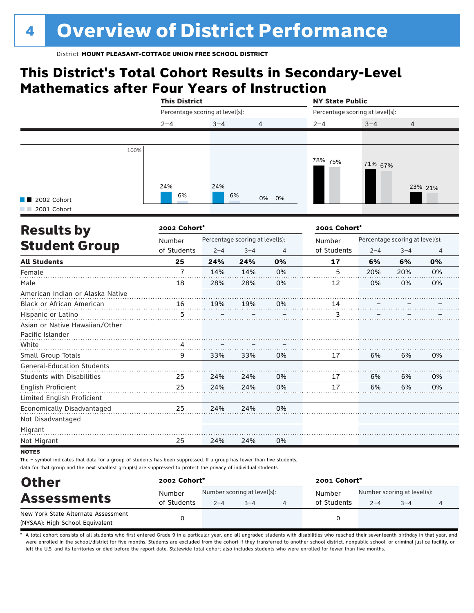### **This District's Total Cohort Results in Secondary-Level Mathematics after Four Years of Instruction**

|                                   | <b>This District</b>                      | <b>NY State Public</b> |         |          |                                 |         |                                 |         |  |
|-----------------------------------|-------------------------------------------|------------------------|---------|----------|---------------------------------|---------|---------------------------------|---------|--|
|                                   | Percentage scoring at level(s):           |                        |         |          | Percentage scoring at level(s): |         |                                 |         |  |
|                                   | $2 - 4$                                   | $3 - 4$                | 4       |          | $2 - 4$                         | $3 - 4$ | 4                               |         |  |
|                                   |                                           |                        |         |          |                                 |         |                                 |         |  |
| 100%                              |                                           |                        |         |          |                                 |         |                                 |         |  |
|                                   |                                           |                        |         |          | 78% 75%                         | 71% 67% |                                 |         |  |
|                                   |                                           |                        |         |          |                                 |         |                                 |         |  |
|                                   | 24%                                       | 24%                    |         |          |                                 |         |                                 | 23% 21% |  |
|                                   | 6%                                        |                        | 6%      | 0%<br>0% |                                 |         |                                 |         |  |
| 2002 Cohort                       |                                           |                        |         |          |                                 |         |                                 |         |  |
| 2001 Cohort                       |                                           |                        |         |          |                                 |         |                                 |         |  |
| <b>Results by</b>                 | 2002 Cohort*                              |                        |         |          | 2001 Cohort*                    |         |                                 |         |  |
|                                   | Percentage scoring at level(s):<br>Number |                        |         |          | Number                          |         | Percentage scoring at level(s): |         |  |
| <b>Student Group</b>              | of Students                               | $2 - 4$                | $3 - 4$ | 4        | of Students                     | $2 - 4$ | $3 - 4$                         | 4       |  |
| <b>All Students</b>               | 25                                        | 24%                    | 24%     | 0%       | 17                              | 6%      | 6%                              | 0%      |  |
| Female                            | $\overline{1}$                            | 14%                    | 14%     | 0%       | 5                               | 20%     | 20%                             | 0%      |  |
| Male                              | 18                                        | 28%                    | 28%     | 0%       | 12                              | 0%      | 0%                              | 0%      |  |
| American Indian or Alaska Native  |                                           |                        |         |          |                                 |         |                                 |         |  |
| Black or African American         | 16                                        | 19%                    | 19%     | 0%       | 14                              |         |                                 |         |  |
| Hispanic or Latino                | 5                                         |                        |         |          | 3                               |         |                                 |         |  |
| Asian or Native Hawaiian/Other    |                                           |                        |         |          |                                 |         |                                 |         |  |
| Pacific Islander                  |                                           |                        |         |          |                                 |         |                                 |         |  |
| White                             | 4                                         |                        |         |          |                                 |         |                                 |         |  |
| Small Group Totals                | 9                                         | 33%                    | 33%     | 0%       | 17                              | 6%      | 6%                              | 0%      |  |
| <b>General-Education Students</b> |                                           |                        |         |          |                                 |         |                                 |         |  |
| <b>Students with Disabilities</b> | 25                                        | 24%                    | 24%     | 0%       | 17                              | 6%      | 6%                              | 0%      |  |
| English Proficient                | 25                                        | 24%                    | 24%     | 0%       | 17                              | 6%      | 6%                              | 0%      |  |
| Limited English Proficient        |                                           |                        |         |          |                                 |         |                                 |         |  |
| Economically Disadvantaged        | 25                                        | 24%                    | 24%     | 0%       |                                 |         |                                 |         |  |
| Not Disadvantaged                 |                                           |                        |         |          |                                 |         |                                 |         |  |
| Migrant                           |                                           |                        |         |          |                                 |         |                                 |         |  |
| Not Migrant                       | 25                                        | 24%                    | 24%     | 0%       |                                 |         |                                 |         |  |

**NOTES** 

The – symbol indicates that data for a group of students has been suppressed. If a group has fewer than five students, data for that group and the next smallest group(s) are suppressed to protect the privacy of individual students.

| <b>Other</b>                                                           |                       | 2002 Cohort* |                                        |  |                       | 2001 Cohort* |                                        |  |  |  |
|------------------------------------------------------------------------|-----------------------|--------------|----------------------------------------|--|-----------------------|--------------|----------------------------------------|--|--|--|
| <b>Assessments</b>                                                     | Number<br>of Students | $2 - 4$      | Number scoring at level(s):<br>$3 - 4$ |  | Number<br>of Students | $2 - 4$      | Number scoring at level(s):<br>$3 - 4$ |  |  |  |
| New York State Alternate Assessment<br>(NYSAA): High School Equivalent |                       |              |                                        |  |                       |              |                                        |  |  |  |

A total cohort consists of all students who first entered Grade 9 in a particular year, and all ungraded students with disabilities who reached their seventeenth birthday in that year, and were enrolled in the school/district for five months. Students are excluded from the cohort if they transferred to another school district, nonpublic school, or criminal justice facility, or left the U.S. and its territories or died before the report date. Statewide total cohort also includes students who were enrolled for fewer than five months.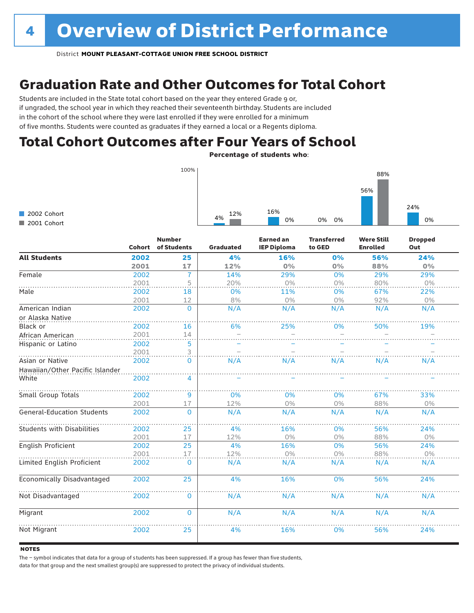### Graduation Rate and Other Outcomes for Total Cohort

Students are included in the State total cohort based on the year they entered Grade 9 or, if ungraded, the school year in which they reached their seventeenth birthday. Students are included in the cohort of the school where they were last enrolled if they were enrolled for a minimum of five months. Students were counted as graduates if they earned a local or a Regents diploma.

### Total Cohort Outcomes after Four Years of School

Percentage of students who:

|             | 100% |           |     |          | 88% |  |
|-------------|------|-----------|-----|----------|-----|--|
|             |      |           |     |          | 56% |  |
| 2002 Cohort |      | 12%<br>4% | 16% |          | 24% |  |
| 2001 Cohort |      |           | 0%  | 0%<br>0% | 0%  |  |

|                                   | <b>Cohort</b> | <b>Number</b><br>of Students | Graduated | <b>Earned an</b><br><b>IEP Diploma</b> | <b>Transferred</b><br>to GED | <b>Were Still</b><br><b>Enrolled</b> | <b>Dropped</b><br>Out |
|-----------------------------------|---------------|------------------------------|-----------|----------------------------------------|------------------------------|--------------------------------------|-----------------------|
| <b>All Students</b>               | 2002          | 25                           | 4%        | 16%                                    | 0%                           | 56%                                  | 24%                   |
|                                   | 2001          | 17                           | 12%       | 0%                                     | 0%                           | 88%                                  | 0%                    |
| Female                            | 2002          | $\overline{7}$               | 14%       | 29%                                    | 0%                           | 29%                                  | 29%                   |
|                                   | 2001          | $\overline{5}$               | 20%       | 0%                                     | $0\%$                        | 80%                                  | 0%                    |
| Male                              | 2002          | 18                           | 0%        | 11%                                    | 0%                           | 67%                                  | 22%                   |
|                                   | 2001          | 12                           | 8%        | 0%                                     | 0%                           | 92%                                  | 0%                    |
| American Indian                   | 2002          | $\Omega$                     | N/A       | N/A                                    | N/A                          | N/A                                  | N/A                   |
| or Alaska Native                  |               |                              |           |                                        |                              |                                      |                       |
| Black or                          | 2002          | 16                           | 6%        | 25%                                    | 0%                           | 50%                                  | 19%                   |
| African American                  | 2001          | 14                           |           |                                        |                              |                                      |                       |
| Hispanic or Latino                | 2002          | 5                            |           |                                        |                              |                                      |                       |
|                                   | 2001          | 3                            |           |                                        |                              |                                      |                       |
| Asian or Native                   | 2002          | $\Omega$                     | N/A       | N/A                                    | N/A                          | N/A                                  | N/A                   |
| Hawaiian/Other Pacific Islander   |               |                              |           |                                        |                              |                                      |                       |
| White                             | 2002          | 4                            |           |                                        |                              |                                      |                       |
| Small Group Totals                | 2002          | 9                            | 0%        | 0%                                     | 0%                           | 67%                                  | 33%                   |
|                                   | 2001          | 17                           | 12%       | $0\%$                                  | 0%                           | 88%                                  | $0\%$                 |
| <b>General-Education Students</b> | 2002          | $\Omega$                     | N/A       | N/A                                    | N/A                          | N/A                                  | N/A                   |
| <b>Students with Disabilities</b> | 2002          | 25                           | 4%        | 16%                                    | 0%                           | 56%                                  | 24%                   |
|                                   | 2001          | 17                           | 12%       | 0%                                     | 0%                           | 88%                                  | $0\%$                 |
| English Proficient                | 2002          | 25                           | 4%        | 16%                                    | 0%                           | 56%                                  | 24%                   |
|                                   | 2001          | 17                           | 12%       | 0%                                     | 0%                           | 88%                                  | $0\%$                 |
| Limited English Proficient        | 2002          | 0                            | N/A       | N/A                                    | N/A                          | N/A                                  | N/A                   |
| Economically Disadvantaged        | 2002          | 25                           | 4%        | 16%                                    | 0%                           | 56%                                  | 24%                   |
| Not Disadvantaged                 | 2002          | 0                            | N/A       | N/A                                    | N/A                          | N/A                                  | N/A                   |
| Migrant                           | 2002          | $\mathbf{0}$                 | N/A       | N/A                                    | N/A                          | N/A                                  | N/A                   |
| Not Migrant                       | 2002          | 25                           | 4%        | 16%                                    | 0%                           | 56%                                  | 24%                   |

#### **NOTES**

The – symbol indicates that data for a group of s tudents has been suppressed. If a group has fewer than five students,

data for that group and the next smallest group(s) are suppressed to protect the privacy of individual students.